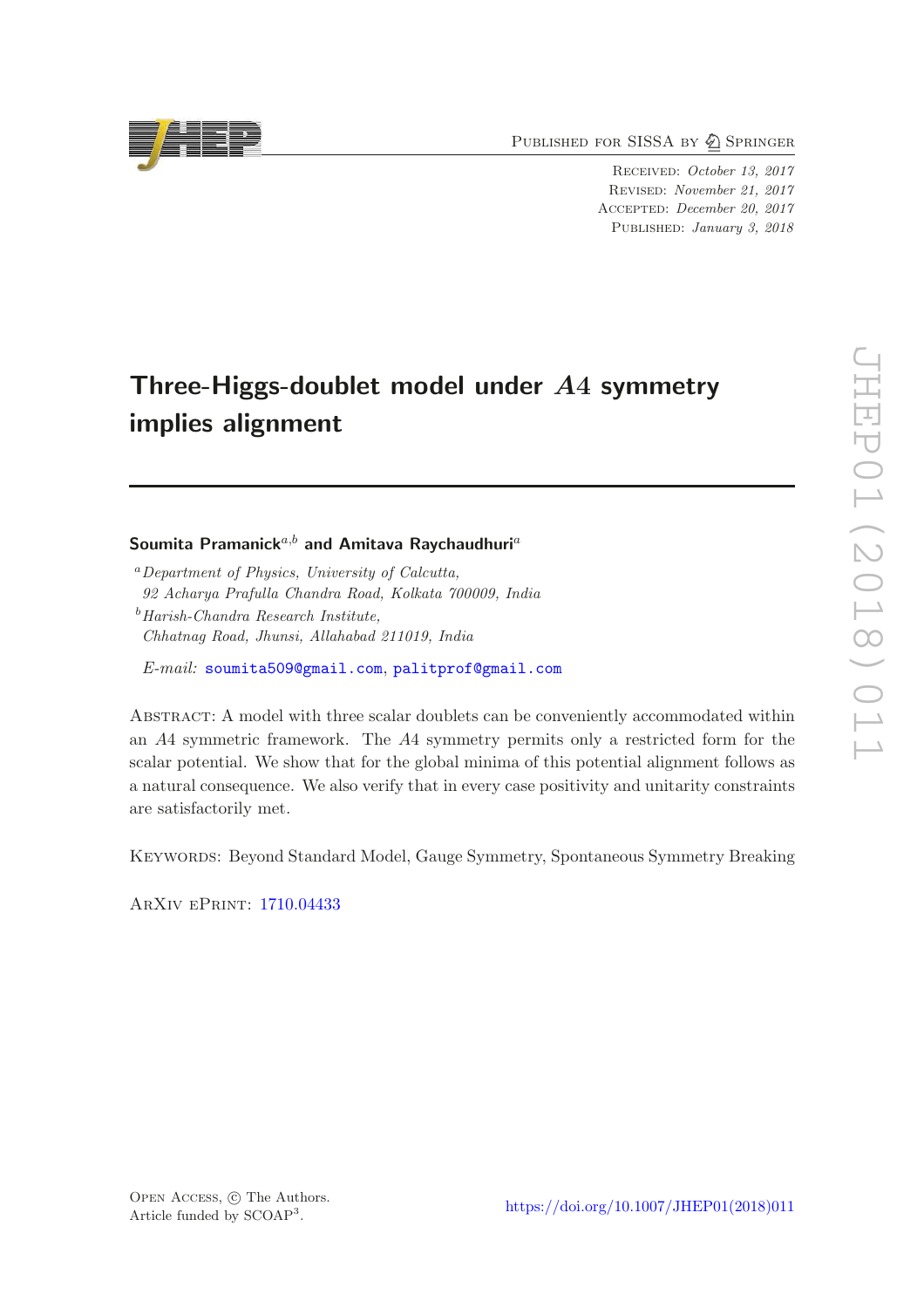PUBLISHED FOR SISSA BY 2 SPRINGER

Received: October 13, 2017 Revised: November 21, 2017 Accepted: December 20, 2017 Published: January 3, 2018

# Three-Higgs-doublet model under A4 symmetry implies alignment

### Soumita Pramanick<sup>a,b</sup> and Amitava Raychaudhuri<sup>a</sup>

<sup>a</sup>*Department of Physics, University of Calcutta, 92 Acharya Prafulla Chandra Road, Kolkata 700009, India*

<sup>b</sup>*Harish-Chandra Research Institute, Chhatnag Road, Jhunsi, Allahabad 211019, India*

*E-mail:* [soumita509@gmail.com](mailto:soumita509@gmail.com), [palitprof@gmail.com](mailto:palitprof@gmail.com)

Abstract: A model with three scalar doublets can be conveniently accommodated within an A4 symmetric framework. The A4 symmetry permits only a restricted form for the scalar potential. We show that for the global minima of this potential alignment follows as a natural consequence. We also verify that in every case positivity and unitarity constraints are satisfactorily met.

Keywords: Beyond Standard Model, Gauge Symmetry, Spontaneous Symmetry Breaking

ArXiv ePrint: [1710.04433](https://arxiv.org/abs/1710.04433)



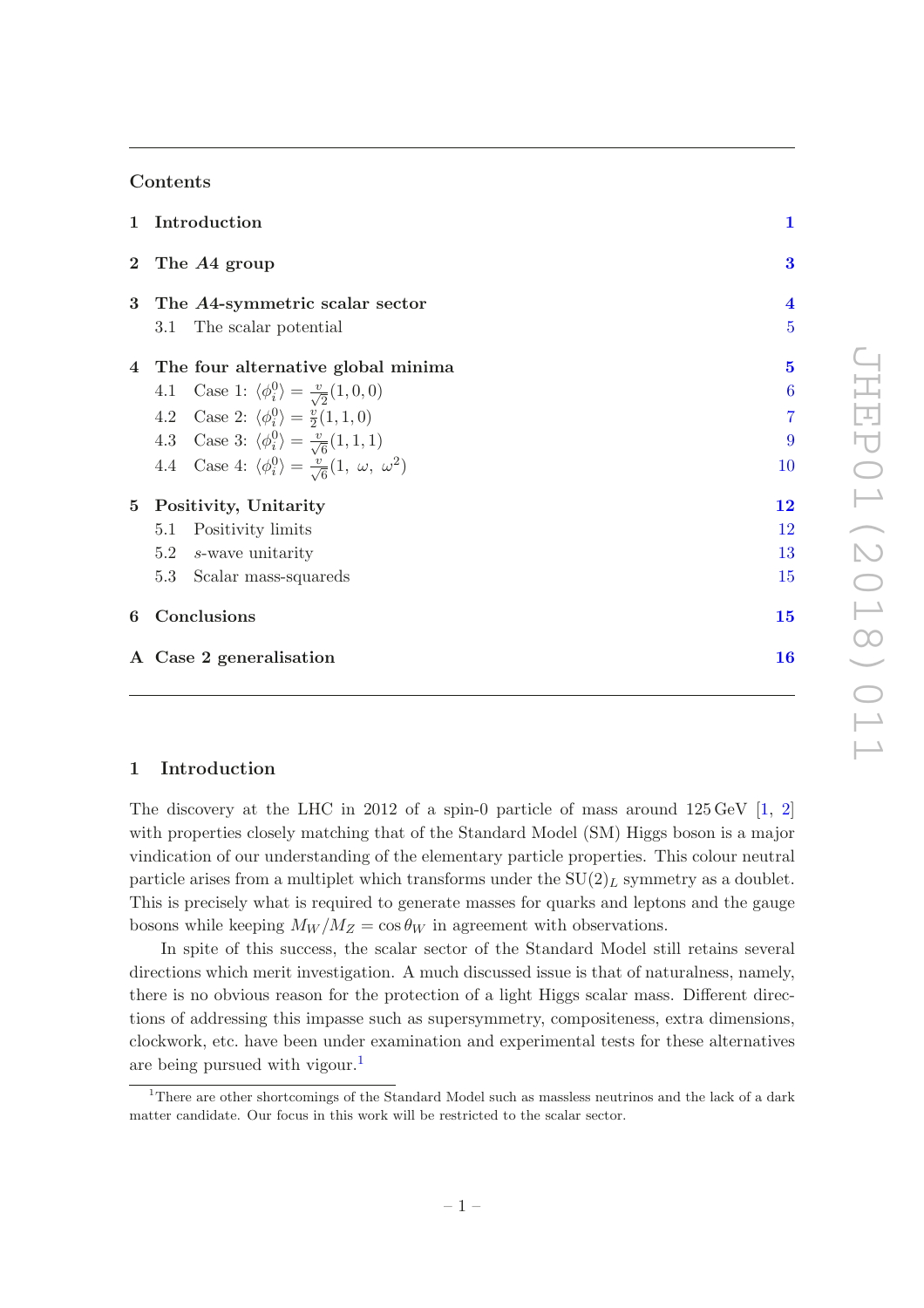### Contents

| $\mathbf{1}$     | Introduction                                                                     | $\mathbf{1}$            |  |  |  |
|------------------|----------------------------------------------------------------------------------|-------------------------|--|--|--|
|                  | 2 The A4 group                                                                   | 3                       |  |  |  |
| 3                | The A4-symmetric scalar sector                                                   | $\overline{\mathbf{4}}$ |  |  |  |
|                  | The scalar potential<br>3.1                                                      | $\overline{5}$          |  |  |  |
| $\overline{4}$   | The four alternative global minima                                               | $\overline{\mathbf{5}}$ |  |  |  |
|                  | 4.1 Case 1: $\langle \phi_i^0 \rangle = \frac{v}{\sqrt{2}}(1,0,0)$               | $\overline{6}$          |  |  |  |
|                  | 4.2 Case 2: $\langle \phi_i^0 \rangle = \frac{v}{2}(1,1,0)$                      | $\overline{7}$          |  |  |  |
|                  | 4.3 Case 3: $\langle \phi_i^0 \rangle = \frac{v}{\sqrt{6}}(1,1,1)$               | 9                       |  |  |  |
|                  | 4.4 Case 4: $\langle \phi_i^0 \rangle = \frac{v}{\sqrt{6}}(1, \omega, \omega^2)$ | 10                      |  |  |  |
| $5^{\circ}$      | Positivity, Unitarity                                                            | 12                      |  |  |  |
|                  | Positivity limits<br>5.1                                                         | 12                      |  |  |  |
|                  | 5.2<br>s-wave unitarity                                                          | 13                      |  |  |  |
|                  | 5.3<br>Scalar mass-squareds                                                      | 15                      |  |  |  |
| Conclusions<br>6 |                                                                                  |                         |  |  |  |
|                  | 16<br>A Case 2 generalisation                                                    |                         |  |  |  |

### <span id="page-1-0"></span>1 Introduction

The discovery at the LHC in 2012 of a spin-0 particle of mass around  $125 \,\text{GeV}$  [\[1](#page-18-0), [2\]](#page-18-1) with properties closely matching that of the Standard Model (SM) Higgs boson is a major vindication of our understanding of the elementary particle properties. This colour neutral particle arises from a multiplet which transforms under the  $SU(2)_L$  symmetry as a doublet. This is precisely what is required to generate masses for quarks and leptons and the gauge bosons while keeping  $M_W/M_Z = \cos \theta_W$  in agreement with observations.

In spite of this success, the scalar sector of the Standard Model still retains several directions which merit investigation. A much discussed issue is that of naturalness, namely, there is no obvious reason for the protection of a light Higgs scalar mass. Different directions of addressing this impasse such as supersymmetry, compositeness, extra dimensions, clockwork, etc. have been under examination and experimental tests for these alternatives are being pursued with vigour.<sup>[1](#page-1-1)</sup>

<span id="page-1-1"></span><sup>1</sup>There are other shortcomings of the Standard Model such as massless neutrinos and the lack of a dark matter candidate. Our focus in this work will be restricted to the scalar sector.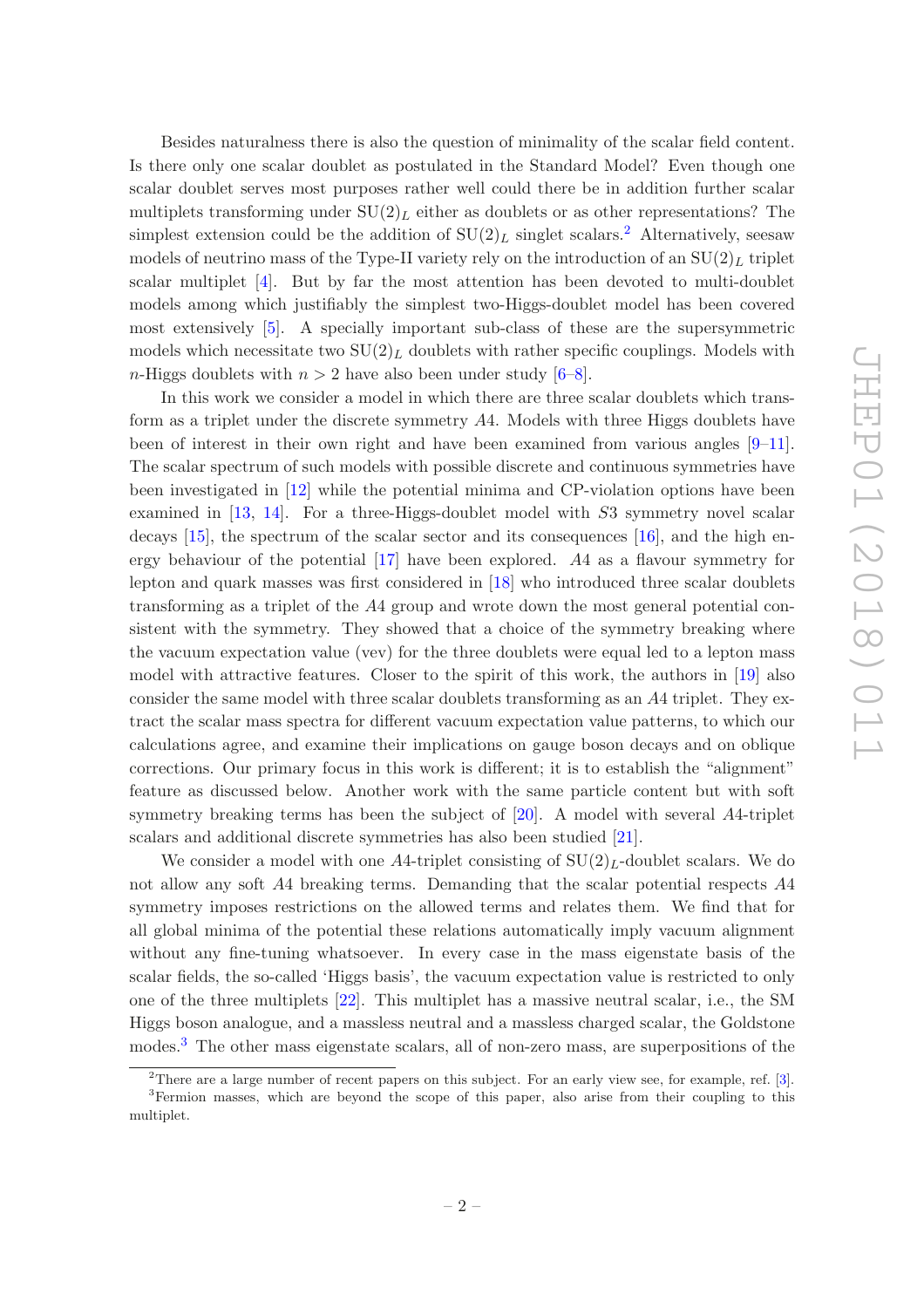Besides naturalness there is also the question of minimality of the scalar field content. Is there only one scalar doublet as postulated in the Standard Model? Even though one scalar doublet serves most purposes rather well could there be in addition further scalar multiplets transforming under  $SU(2)<sub>L</sub>$  either as doublets or as other representations? The simplest extension could be the addition of  $SU(2)<sub>L</sub>$  $SU(2)<sub>L</sub>$  $SU(2)<sub>L</sub>$  singlet scalars.<sup>2</sup> Alternatively, seesaw models of neutrino mass of the Type-II variety rely on the introduction of an  $SU(2)_L$  triplet scalar multiplet [\[4\]](#page-19-0). But by far the most attention has been devoted to multi-doublet models among which justifiably the simplest two-Higgs-doublet model has been covered most extensively [\[5\]](#page-19-1). A specially important sub-class of these are the supersymmetric models which necessitate two  $SU(2)_L$  doublets with rather specific couplings. Models with *n*-Higgs doublets with  $n > 2$  have also been under study [\[6](#page-19-2)[–8](#page-19-3)].

In this work we consider a model in which there are three scalar doublets which transform as a triplet under the discrete symmetry A4. Models with three Higgs doublets have been of interest in their own right and have been examined from various angles  $[9-11]$ . The scalar spectrum of such models with possible discrete and continuous symmetries have been investigated in [\[12\]](#page-19-6) while the potential minima and CP-violation options have been examined in [\[13](#page-19-7), [14](#page-19-8)]. For a three-Higgs-doublet model with S3 symmetry novel scalar decays [\[15](#page-19-9)], the spectrum of the scalar sector and its consequences [\[16\]](#page-19-10), and the high energy behaviour of the potential  $\left[17\right]$  have been explored. A4 as a flavour symmetry for lepton and quark masses was first considered in [\[18\]](#page-19-12) who introduced three scalar doublets transforming as a triplet of the A4 group and wrote down the most general potential consistent with the symmetry. They showed that a choice of the symmetry breaking where the vacuum expectation value (vev) for the three doublets were equal led to a lepton mass model with attractive features. Closer to the spirit of this work, the authors in [\[19\]](#page-19-13) also consider the same model with three scalar doublets transforming as an A4 triplet. They extract the scalar mass spectra for different vacuum expectation value patterns, to which our calculations agree, and examine their implications on gauge boson decays and on oblique corrections. Our primary focus in this work is different; it is to establish the "alignment" feature as discussed below. Another work with the same particle content but with soft symmetry breaking terms has been the subject of [\[20\]](#page-19-14). A model with several A4-triplet scalars and additional discrete symmetries has also been studied [\[21](#page-19-15)].

We consider a model with one A4-triplet consisting of  $SU(2)<sub>L</sub>$ -doublet scalars. We do not allow any soft A4 breaking terms. Demanding that the scalar potential respects A4 symmetry imposes restrictions on the allowed terms and relates them. We find that for all global minima of the potential these relations automatically imply vacuum alignment without any fine-tuning whatsoever. In every case in the mass eigenstate basis of the scalar fields, the so-called 'Higgs basis', the vacuum expectation value is restricted to only one of the three multiplets [\[22](#page-20-0)]. This multiplet has a massive neutral scalar, i.e., the SM Higgs boson analogue, and a massless neutral and a massless charged scalar, the Goldstone modes.[3](#page-2-1) The other mass eigenstate scalars, all of non-zero mass, are superpositions of the

<sup>&</sup>lt;sup>2</sup>There are a large number of recent papers on this subject. For an early view see, for example, ref.  $[3]$ . <sup>3</sup>Fermion masses, which are beyond the scope of this paper, also arise from their coupling to this

<span id="page-2-1"></span><span id="page-2-0"></span>multiplet.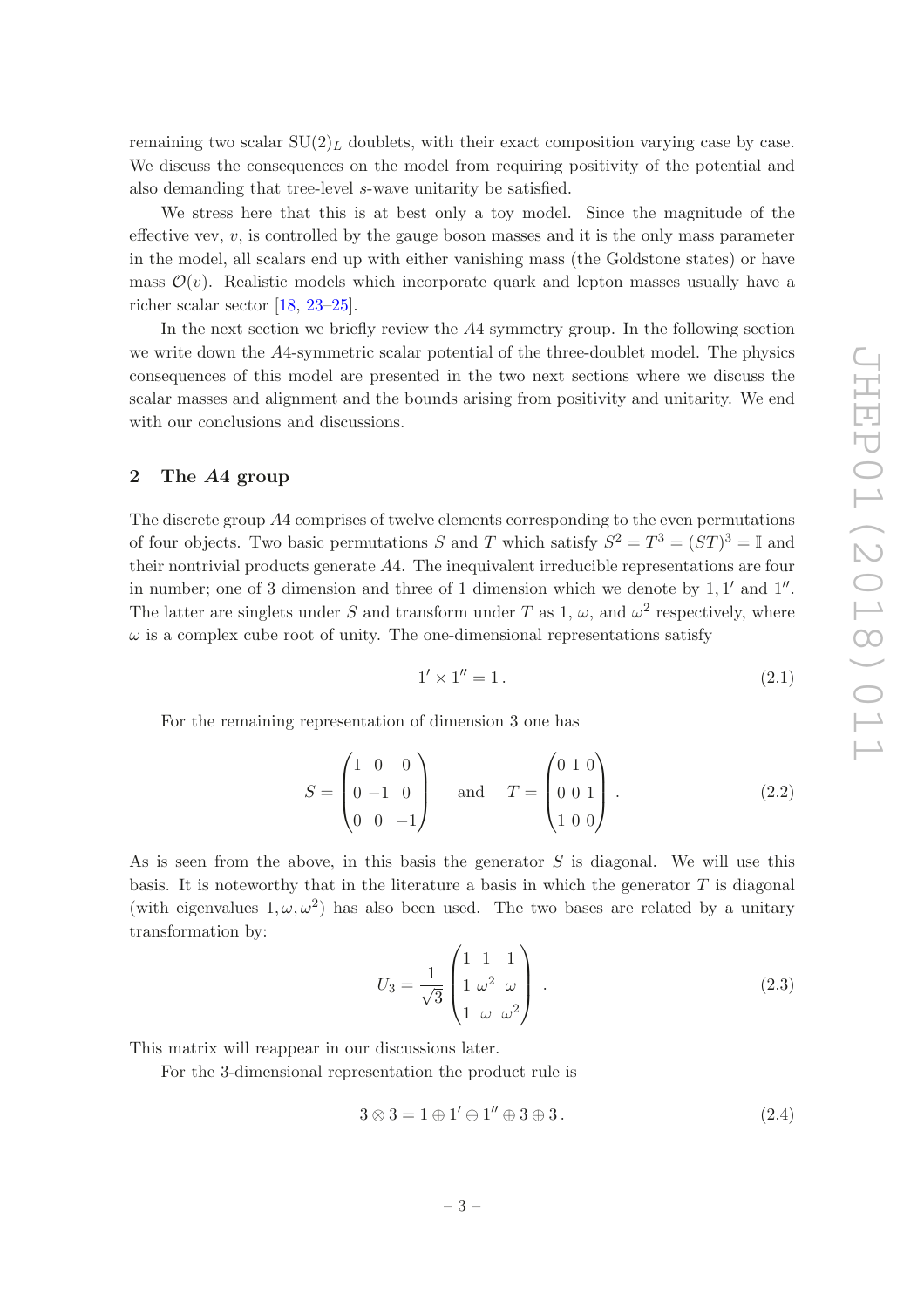remaining two scalar  $SU(2)_L$  doublets, with their exact composition varying case by case. We discuss the consequences on the model from requiring positivity of the potential and also demanding that tree-level s-wave unitarity be satisfied.

We stress here that this is at best only a toy model. Since the magnitude of the effective vev,  $v$ , is controlled by the gauge boson masses and it is the only mass parameter in the model, all scalars end up with either vanishing mass (the Goldstone states) or have mass  $\mathcal{O}(v)$ . Realistic models which incorporate quark and lepton masses usually have a richer scalar sector [\[18,](#page-19-12) [23](#page-20-1)[–25](#page-20-2)].

In the next section we briefly review the A4 symmetry group. In the following section we write down the A4-symmetric scalar potential of the three-doublet model. The physics consequences of this model are presented in the two next sections where we discuss the scalar masses and alignment and the bounds arising from positivity and unitarity. We end with our conclusions and discussions.

### <span id="page-3-0"></span>2 The A4 group

The discrete group A4 comprises of twelve elements corresponding to the even permutations of four objects. Two basic permutations S and T which satisfy  $S^2 = T^3 = (ST)^3 = \mathbb{I}$  and their nontrivial products generate A4. The inequivalent irreducible representations are four in number; one of 3 dimension and three of 1 dimension which we denote by  $1, 1'$  and  $1''$ . The latter are singlets under S and transform under T as 1,  $\omega$ , and  $\omega^2$  respectively, where  $\omega$  is a complex cube root of unity. The one-dimensional representations satisfy

<span id="page-3-2"></span>
$$
1' \times 1'' = 1. \tag{2.1}
$$

For the remaining representation of dimension 3 one has

$$
S = \begin{pmatrix} 1 & 0 & 0 \\ 0 & -1 & 0 \\ 0 & 0 & -1 \end{pmatrix} \quad \text{and} \quad T = \begin{pmatrix} 0 & 1 & 0 \\ 0 & 0 & 1 \\ 1 & 0 & 0 \end{pmatrix} . \tag{2.2}
$$

As is seen from the above, in this basis the generator  $S$  is diagonal. We will use this basis. It is noteworthy that in the literature a basis in which the generator  $T$  is diagonal (with eigenvalues  $1, \omega, \omega^2$ ) has also been used. The two bases are related by a unitary transformation by:

<span id="page-3-3"></span>
$$
U_3 = \frac{1}{\sqrt{3}} \begin{pmatrix} 1 & 1 & 1 \\ 1 & \omega^2 & \omega \\ 1 & \omega & \omega^2 \end{pmatrix} .
$$
 (2.3)

This matrix will reappear in our discussions later.

For the 3-dimensional representation the product rule is

<span id="page-3-1"></span>
$$
3 \otimes 3 = 1 \oplus 1' \oplus 1'' \oplus 3 \oplus 3. \tag{2.4}
$$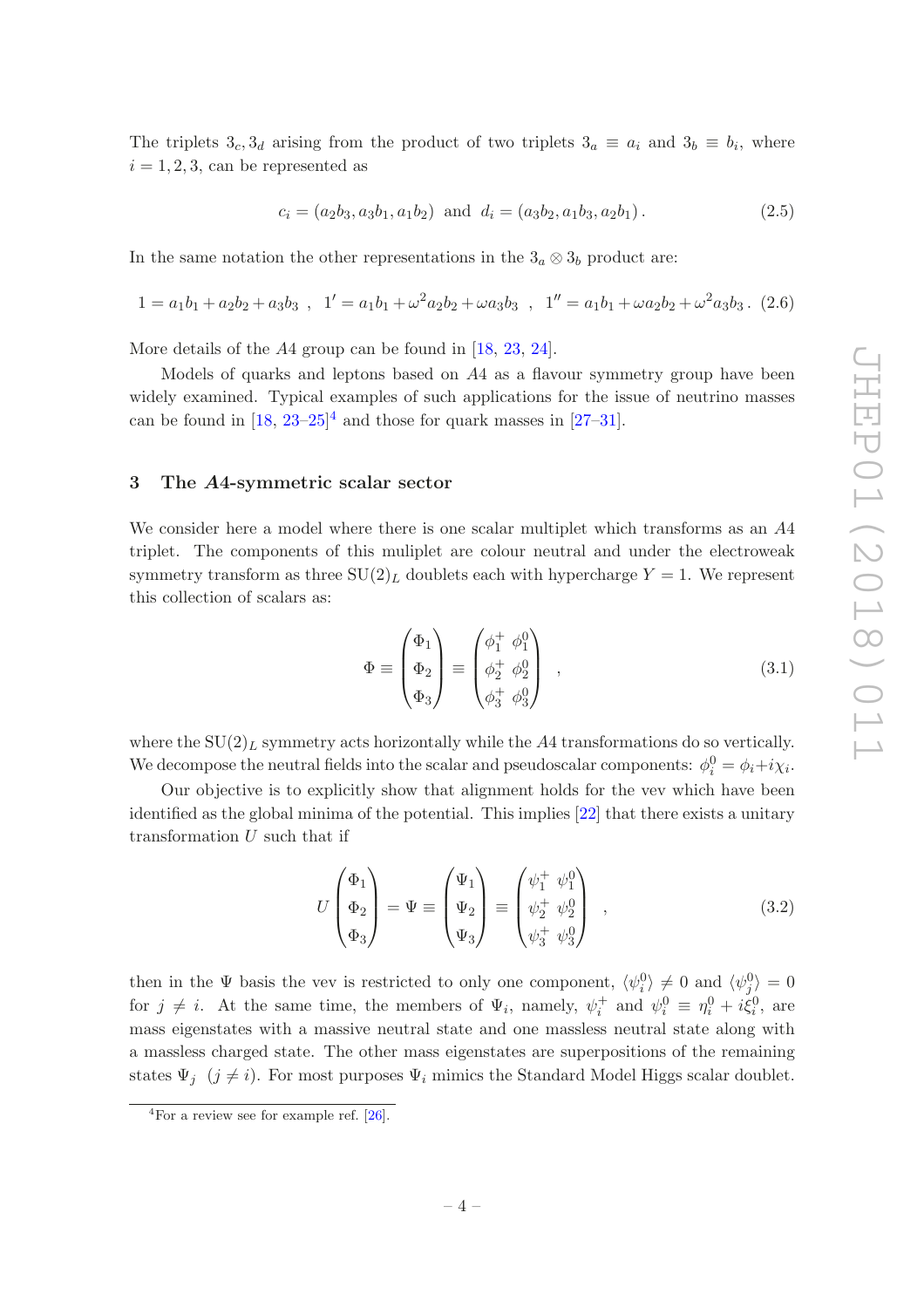The triplets  $3_c$ ,  $3_d$  arising from the product of two triplets  $3_a \equiv a_i$  and  $3_b \equiv b_i$ , where  $i = 1, 2, 3$ , can be represented as

<span id="page-4-2"></span>
$$
c_i = (a_2b_3, a_3b_1, a_1b_2) \text{ and } d_i = (a_3b_2, a_1b_3, a_2b_1). \tag{2.5}
$$

In the same notation the other representations in the  $3<sub>a</sub> \otimes 3<sub>b</sub>$  product are:

$$
1 = a_1b_1 + a_2b_2 + a_3b_3 , 1' = a_1b_1 + \omega^2 a_2b_2 + \omega a_3b_3 , 1'' = a_1b_1 + \omega a_2b_2 + \omega^2 a_3b_3.
$$
 (2.6)

More details of the A4 group can be found in [\[18,](#page-19-12) [23](#page-20-1), [24\]](#page-20-3).

Models of quarks and leptons based on A4 as a flavour symmetry group have been widely examined. Typical examples of such applications for the issue of neutrino masses can be found in  $[18, 23-25]^4$  $[18, 23-25]^4$  $[18, 23-25]^4$  $[18, 23-25]^4$  and those for quark masses in  $[27-31]$ .

### <span id="page-4-0"></span>3 The A4-symmetric scalar sector

We consider here a model where there is one scalar multiplet which transforms as an A4 triplet. The components of this muliplet are colour neutral and under the electroweak symmetry transform as three  $SU(2)_L$  doublets each with hypercharge  $Y = 1$ . We represent this collection of scalars as:

<span id="page-4-4"></span>
$$
\Phi \equiv \begin{pmatrix} \Phi_1 \\ \Phi_2 \\ \Phi_3 \end{pmatrix} \equiv \begin{pmatrix} \phi_1^+ & \phi_1^0 \\ \phi_2^+ & \phi_2^0 \\ \phi_3^+ & \phi_3^0 \end{pmatrix} , \qquad (3.1)
$$

where the  $SU(2)_L$  symmetry acts horizontally while the A4 transformations do so vertically. We decompose the neutral fields into the scalar and pseudoscalar components:  $\phi_i^0 = \phi_i + i\chi_i$ .

Our objective is to explicitly show that alignment holds for the vev which have been identified as the global minima of the potential. This implies [\[22\]](#page-20-0) that there exists a unitary transformation U such that if

<span id="page-4-3"></span>
$$
U\begin{pmatrix} \Phi_1 \\ \Phi_2 \\ \Phi_3 \end{pmatrix} = \Psi \equiv \begin{pmatrix} \Psi_1 \\ \Psi_2 \\ \Psi_3 \end{pmatrix} \equiv \begin{pmatrix} \psi_1^+ & \psi_1^0 \\ \psi_2^+ & \psi_2^0 \\ \psi_3^+ & \psi_3^0 \end{pmatrix} , \qquad (3.2)
$$

then in the  $\Psi$  basis the vev is restricted to only one component,  $\langle \psi_i^0 \rangle \neq 0$  and  $\langle \psi_j^0 \rangle = 0$ for  $j \neq i$ . At the same time, the members of  $\Psi_i$ , namely,  $\psi_i^+$  and  $\psi_i^0 \equiv \eta_i^0 + i \xi_i^0$ , are mass eigenstates with a massive neutral state and one massless neutral state along with a massless charged state. The other mass eigenstates are superpositions of the remaining states  $\Psi_j$  ( $j \neq i$ ). For most purposes  $\Psi_i$  mimics the Standard Model Higgs scalar doublet.

<span id="page-4-1"></span> ${}^{4}$ For a review see for example ref. [\[26](#page-20-6)].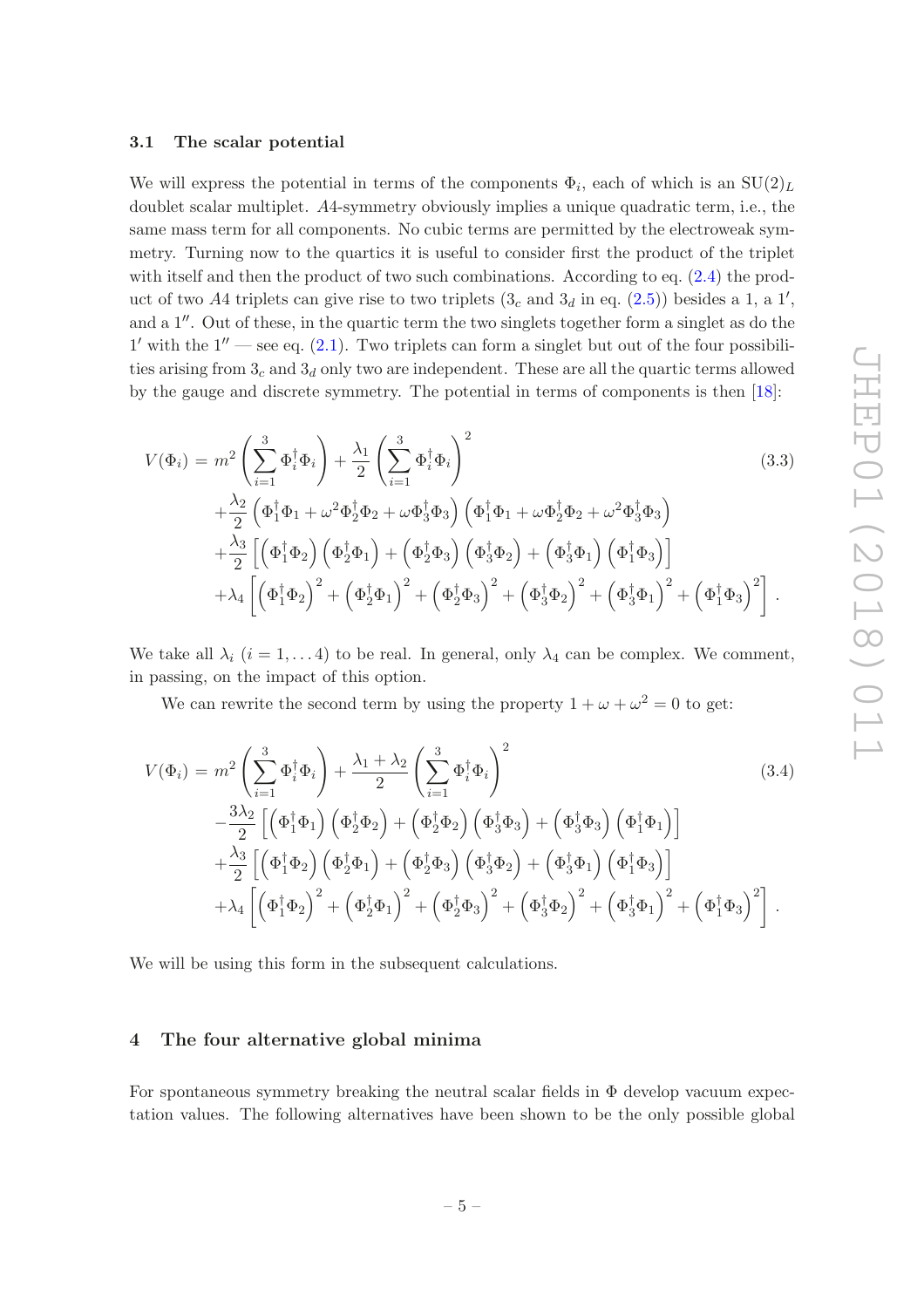### <span id="page-5-0"></span>3.1 The scalar potential

We will express the potential in terms of the components  $\Phi_i$ , each of which is an  $SU(2)_L$ doublet scalar multiplet. A4-symmetry obviously implies a unique quadratic term, i.e., the same mass term for all components. No cubic terms are permitted by the electroweak symmetry. Turning now to the quartics it is useful to consider first the product of the triplet with itself and then the product of two such combinations. According to eq.  $(2.4)$  the product of two A4 triplets can give rise to two triplets  $(3<sub>c</sub>$  and  $3<sub>d</sub>$  in eq.  $(2.5)$ ) besides a 1, a 1', and a 1′′. Out of these, in the quartic term the two singlets together form a singlet as do the  $1'$  with the  $1''$  — see eq.  $(2.1)$ . Two triplets can form a singlet but out of the four possibilities arising from  $3<sub>c</sub>$  and  $3<sub>d</sub>$  only two are independent. These are all the quartic terms allowed by the gauge and discrete symmetry. The potential in terms of components is then [\[18\]](#page-19-12):

$$
V(\Phi_i) = m^2 \left( \sum_{i=1}^3 \Phi_i^{\dagger} \Phi_i \right) + \frac{\lambda_1}{2} \left( \sum_{i=1}^3 \Phi_i^{\dagger} \Phi_i \right)^2
$$
(3.3)  
 
$$
+ \frac{\lambda_2}{2} \left( \Phi_1^{\dagger} \Phi_1 + \omega^2 \Phi_2^{\dagger} \Phi_2 + \omega \Phi_3^{\dagger} \Phi_3 \right) \left( \Phi_1^{\dagger} \Phi_1 + \omega \Phi_2^{\dagger} \Phi_2 + \omega^2 \Phi_3^{\dagger} \Phi_3 \right)
$$
  
 
$$
+ \frac{\lambda_3}{2} \left[ \left( \Phi_1^{\dagger} \Phi_2 \right) \left( \Phi_2^{\dagger} \Phi_1 \right) + \left( \Phi_2^{\dagger} \Phi_3 \right) \left( \Phi_3^{\dagger} \Phi_2 \right) + \left( \Phi_3^{\dagger} \Phi_1 \right) \left( \Phi_1^{\dagger} \Phi_3 \right) \right]
$$
  
 
$$
+ \lambda_4 \left[ \left( \Phi_1^{\dagger} \Phi_2 \right)^2 + \left( \Phi_2^{\dagger} \Phi_1 \right)^2 + \left( \Phi_2^{\dagger} \Phi_3 \right)^2 + \left( \Phi_3^{\dagger} \Phi_2 \right)^2 + \left( \Phi_3^{\dagger} \Phi_1 \right)^2 + \left( \Phi_1^{\dagger} \Phi_3 \right)^2 \right].
$$
 (3.3)

We take all  $\lambda_i$   $(i = 1, \ldots 4)$  to be real. In general, only  $\lambda_4$  can be complex. We comment, in passing, on the impact of this option.

We can rewrite the second term by using the property  $1 + \omega + \omega^2 = 0$  to get:

<span id="page-5-2"></span>
$$
V(\Phi_i) = m^2 \left( \sum_{i=1}^3 \Phi_i^{\dagger} \Phi_i \right) + \frac{\lambda_1 + \lambda_2}{2} \left( \sum_{i=1}^3 \Phi_i^{\dagger} \Phi_i \right)^2
$$
\n
$$
- \frac{3\lambda_2}{2} \left[ \left( \Phi_1^{\dagger} \Phi_1 \right) \left( \Phi_2^{\dagger} \Phi_2 \right) + \left( \Phi_2^{\dagger} \Phi_2 \right) \left( \Phi_3^{\dagger} \Phi_3 \right) + \left( \Phi_3^{\dagger} \Phi_3 \right) \left( \Phi_1^{\dagger} \Phi_1 \right) \right]
$$
\n
$$
+ \frac{\lambda_3}{2} \left[ \left( \Phi_1^{\dagger} \Phi_2 \right) \left( \Phi_2^{\dagger} \Phi_1 \right) + \left( \Phi_2^{\dagger} \Phi_3 \right) \left( \Phi_3^{\dagger} \Phi_2 \right) + \left( \Phi_3^{\dagger} \Phi_1 \right) \left( \Phi_1^{\dagger} \Phi_3 \right) \right]
$$
\n
$$
+ \lambda_4 \left[ \left( \Phi_1^{\dagger} \Phi_2 \right)^2 + \left( \Phi_2^{\dagger} \Phi_1 \right)^2 + \left( \Phi_2^{\dagger} \Phi_3 \right)^2 + \left( \Phi_3^{\dagger} \Phi_2 \right)^2 + \left( \Phi_3^{\dagger} \Phi_1 \right)^2 + \left( \Phi_1^{\dagger} \Phi_3 \right)^2 \right].
$$
\n(3.4)

We will be using this form in the subsequent calculations.

### <span id="page-5-1"></span>4 The four alternative global minima

For spontaneous symmetry breaking the neutral scalar fields in  $\Phi$  develop vacuum expectation values. The following alternatives have been shown to be the only possible global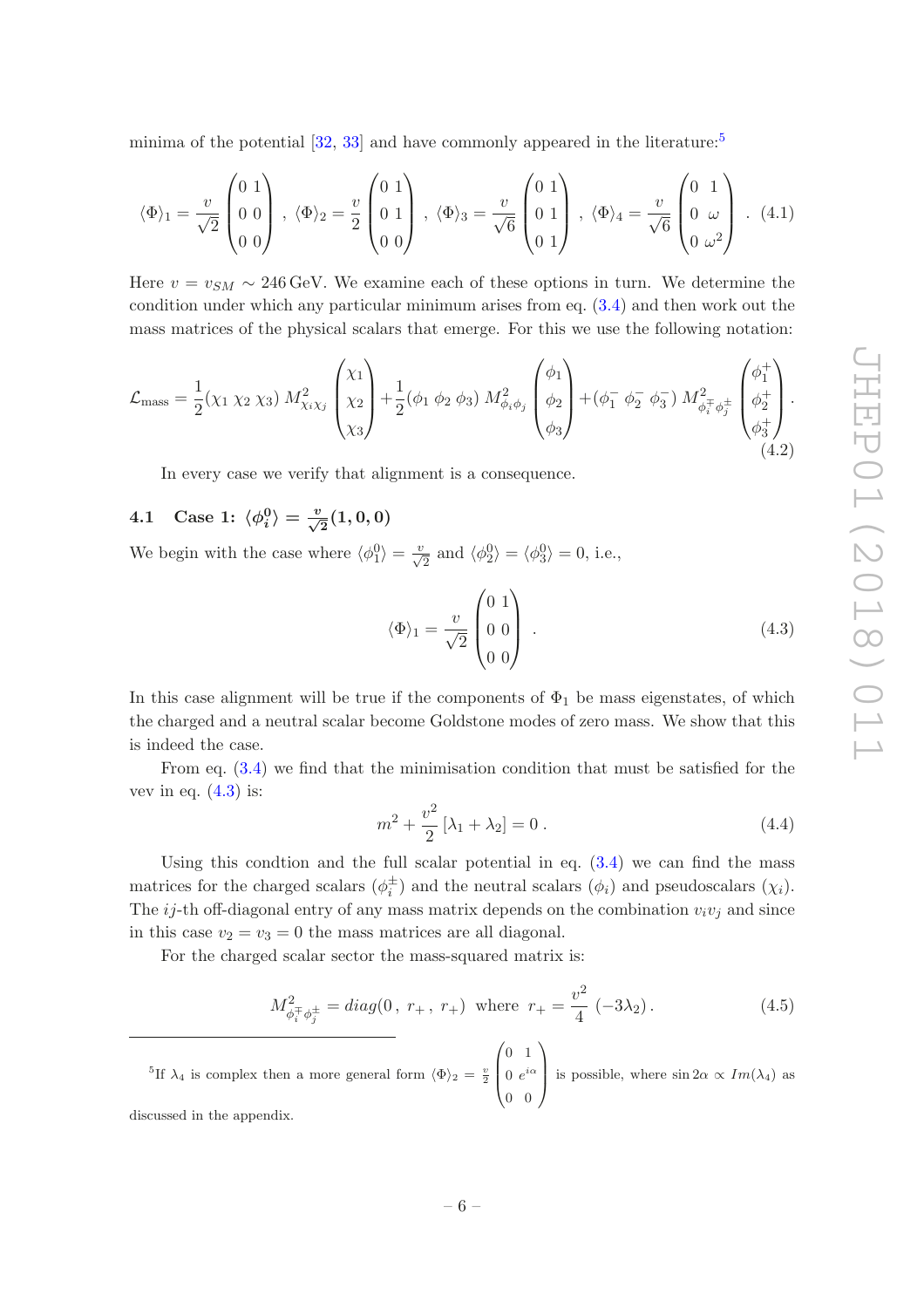minima of the potential  $[32, 33]$  $[32, 33]$  and have commonly appeared in the literature:<sup>[5](#page-6-1)</sup>

$$
\langle \Phi \rangle_1 = \frac{v}{\sqrt{2}} \begin{pmatrix} 0 & 1 \\ 0 & 0 \\ 0 & 0 \end{pmatrix}, \ \langle \Phi \rangle_2 = \frac{v}{2} \begin{pmatrix} 0 & 1 \\ 0 & 1 \\ 0 & 0 \end{pmatrix}, \ \langle \Phi \rangle_3 = \frac{v}{\sqrt{6}} \begin{pmatrix} 0 & 1 \\ 0 & 1 \\ 0 & 1 \end{pmatrix}, \ \langle \Phi \rangle_4 = \frac{v}{\sqrt{6}} \begin{pmatrix} 0 & 1 \\ 0 & \omega \\ 0 & \omega^2 \end{pmatrix} . \tag{4.1}
$$

Here  $v = v_{SM} \sim 246 \,\text{GeV}$ . We examine each of these options in turn. We determine the condition under which any particular minimum arises from eq. [\(3.4\)](#page-5-2) and then work out the mass matrices of the physical scalars that emerge. For this we use the following notation:

$$
\mathcal{L}_{\text{mass}} = \frac{1}{2} (\chi_1 \chi_2 \chi_3) M_{\chi_i \chi_j}^2 \begin{pmatrix} \chi_1 \\ \chi_2 \\ \chi_3 \end{pmatrix} + \frac{1}{2} (\phi_1 \phi_2 \phi_3) M_{\phi_i \phi_j}^2 \begin{pmatrix} \phi_1 \\ \phi_2 \\ \phi_3 \end{pmatrix} + (\phi_1^- \phi_2^- \phi_3^-) M_{\phi_i^+ \phi_j^+}^2 \begin{pmatrix} \phi_1^+ \\ \phi_2^+ \\ \phi_3^+ \end{pmatrix} . \tag{4.2}
$$

In every case we verify that alignment is a consequence.

### <span id="page-6-0"></span>4.1 Case 1:  $\langle \phi_i^0 \rangle = \frac{v}{\sqrt{2}}(1, 0, 0)$

We begin with the case where  $\langle \phi_1^0 \rangle = \frac{v}{\sqrt{2}}$  and  $\langle \phi_2^0 \rangle = \langle \phi_3^0 \rangle = 0$ , i.e.,

<span id="page-6-2"></span>
$$
\langle \Phi \rangle_1 = \frac{v}{\sqrt{2}} \begin{pmatrix} 0 & 1 \\ 0 & 0 \\ 0 & 0 \end{pmatrix} . \tag{4.3}
$$

In this case alignment will be true if the components of  $\Phi_1$  be mass eigenstates, of which the charged and a neutral scalar become Goldstone modes of zero mass. We show that this is indeed the case.

From eq. [\(3.4\)](#page-5-2) we find that the minimisation condition that must be satisfied for the vev in eq.  $(4.3)$  is:

$$
m^2 + \frac{v^2}{2} [\lambda_1 + \lambda_2] = 0.
$$
 (4.4)

Using this condtion and the full scalar potential in eq.  $(3.4)$  we can find the mass matrices for the charged scalars  $(\phi_i^{\pm})$  and the neutral scalars  $(\phi_i)$  and pseudoscalars  $(\chi_i)$ . The ij-th off-diagonal entry of any mass matrix depends on the combination  $v_i v_j$  and since in this case  $v_2 = v_3 = 0$  the mass matrices are all diagonal.

For the charged scalar sector the mass-squared matrix is:

$$
M_{\phi_i^{\pm}\phi_j^{\pm}}^2 = diag(0, r_+, r_+)
$$
 where  $r_+ = \frac{v^2}{4} (-3\lambda_2)$ . (4.5)

<sup>5</sup>If  $\lambda_4$  is complex then a more general form  $\langle \Phi \rangle_2 = \frac{v}{2}$  $\sqrt{2}$  $\overline{\phantom{a}}$ 0 1 0  $e^{i\alpha}$ 0 0  $\setminus$ is possible, where  $\sin 2\alpha \propto Im(\lambda_4)$  as

<span id="page-6-1"></span>discussed in the appendix.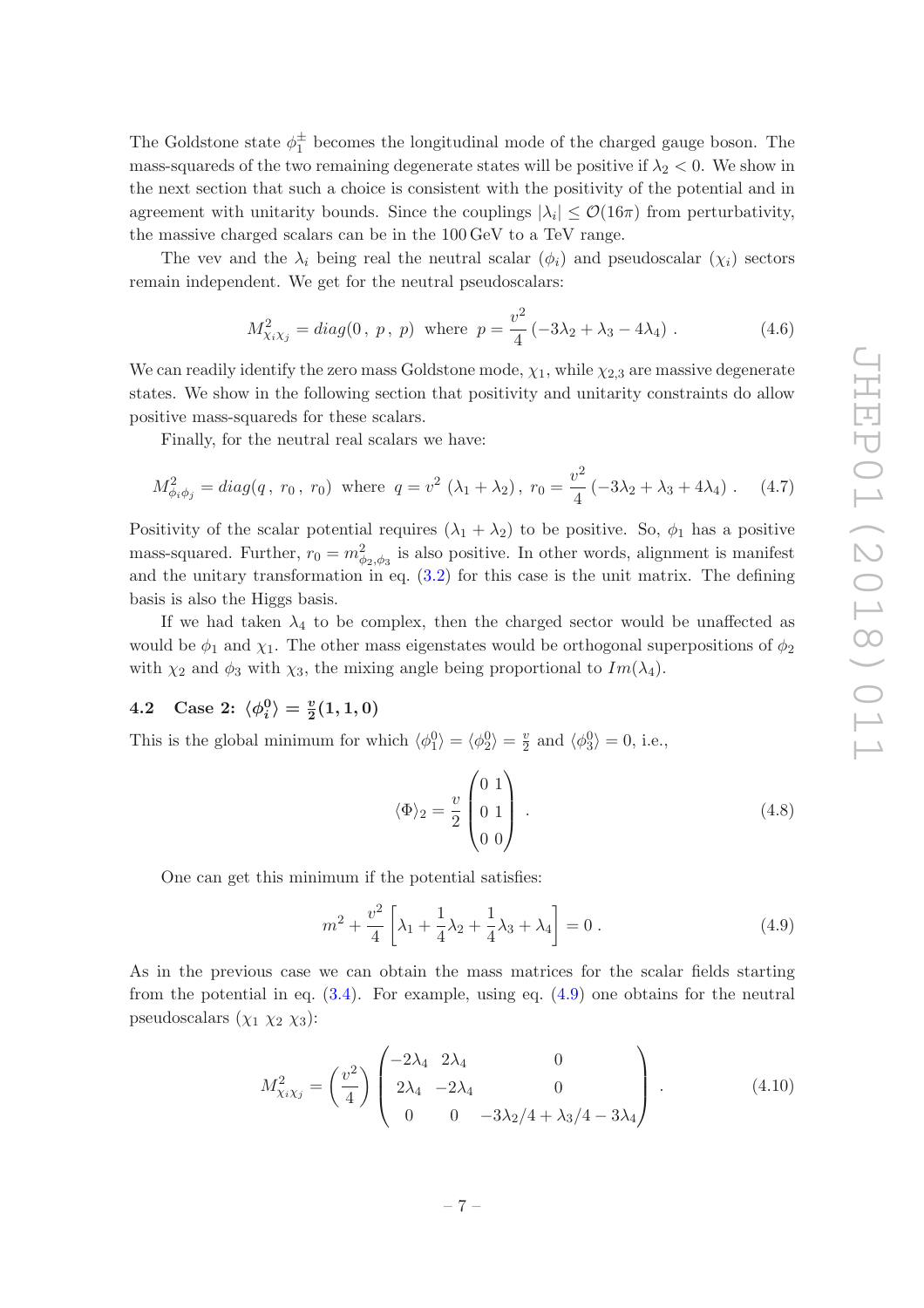The Goldstone state  $\phi_1^{\pm}$  becomes the longitudinal mode of the charged gauge boson. The mass-squareds of the two remaining degenerate states will be positive if  $\lambda_2 < 0$ . We show in the next section that such a choice is consistent with the positivity of the potential and in agreement with unitarity bounds. Since the couplings  $|\lambda_i| \leq \mathcal{O}(16\pi)$  from perturbativity, the massive charged scalars can be in the 100 GeV to a TeV range.

The vev and the  $\lambda_i$  being real the neutral scalar  $(\phi_i)$  and pseudoscalar  $(\chi_i)$  sectors remain independent. We get for the neutral pseudoscalars:

$$
M_{\chi_i \chi_j}^2 = diag(0, p, p) \text{ where } p = \frac{v^2}{4} (-3\lambda_2 + \lambda_3 - 4\lambda_4). \tag{4.6}
$$

We can readily identify the zero mass Goldstone mode,  $\chi_1$ , while  $\chi_{2,3}$  are massive degenerate states. We show in the following section that positivity and unitarity constraints do allow positive mass-squareds for these scalars.

Finally, for the neutral real scalars we have:

$$
M_{\phi_i \phi_j}^2 = diag(q, r_0, r_0) \text{ where } q = v^2 (\lambda_1 + \lambda_2), r_0 = \frac{v^2}{4} (-3\lambda_2 + \lambda_3 + 4\lambda_4). \quad (4.7)
$$

Positivity of the scalar potential requires  $(\lambda_1 + \lambda_2)$  to be positive. So,  $\phi_1$  has a positive mass-squared. Further,  $r_0 = m_{\phi_2,\phi_3}^2$  is also positive. In other words, alignment is manifest and the unitary transformation in eq.  $(3.2)$  for this case is the unit matrix. The defining basis is also the Higgs basis.

If we had taken  $\lambda_4$  to be complex, then the charged sector would be unaffected as would be  $\phi_1$  and  $\chi_1$ . The other mass eigenstates would be orthogonal superpositions of  $\phi_2$ with  $\chi_2$  and  $\phi_3$  with  $\chi_3$ , the mixing angle being proportional to  $Im(\lambda_4)$ .

### <span id="page-7-0"></span>4.2 Case 2:  $\langle \phi_i^0 \rangle = \frac{v}{2}(1, 1, 0)$

This is the global minimum for which  $\langle \phi_1^0 \rangle = \langle \phi_2^0 \rangle = \frac{v}{2}$  $\frac{v}{2}$  and  $\langle \phi_3^0 \rangle = 0$ , i.e.,

$$
\langle \Phi \rangle_2 = \frac{v}{2} \begin{pmatrix} 0 & 1 \\ 0 & 1 \\ 0 & 0 \end{pmatrix} . \tag{4.8}
$$

One can get this minimum if the potential satisfies:

<span id="page-7-1"></span>
$$
m^{2} + \frac{v^{2}}{4} \left[ \lambda_{1} + \frac{1}{4} \lambda_{2} + \frac{1}{4} \lambda_{3} + \lambda_{4} \right] = 0.
$$
 (4.9)

As in the previous case we can obtain the mass matrices for the scalar fields starting from the potential in eq.  $(3.4)$ . For example, using eq.  $(4.9)$  one obtains for the neutral pseudoscalars  $(\chi_1 \chi_2 \chi_3)$ :

<span id="page-7-2"></span>
$$
M_{\chi_i\chi_j}^2 = \left(\frac{v^2}{4}\right) \begin{pmatrix} -2\lambda_4 & 2\lambda_4 & 0\\ 2\lambda_4 & -2\lambda_4 & 0\\ 0 & 0 & -3\lambda_2/4 + \lambda_3/4 - 3\lambda_4 \end{pmatrix} . \tag{4.10}
$$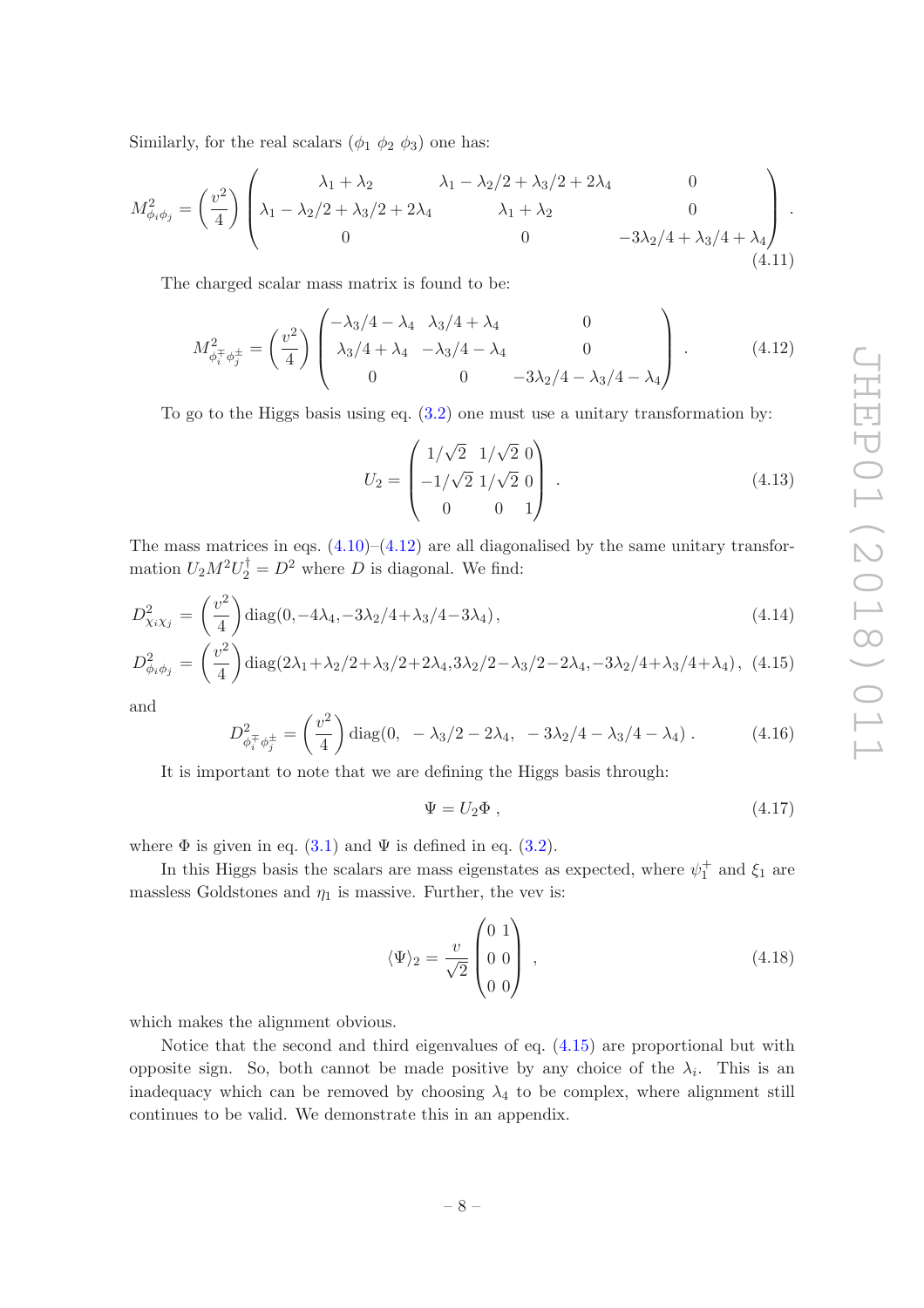Similarly, for the real scalars  $(\phi_1 \phi_2 \phi_3)$  one has:

$$
M_{\phi_i \phi_j}^2 = \left(\frac{v^2}{4}\right) \begin{pmatrix} \lambda_1 + \lambda_2 & \lambda_1 - \lambda_2/2 + \lambda_3/2 + 2\lambda_4 & 0\\ \lambda_1 - \lambda_2/2 + \lambda_3/2 + 2\lambda_4 & \lambda_1 + \lambda_2 & 0\\ 0 & 0 & -3\lambda_2/4 + \lambda_3/4 + \lambda_4 \end{pmatrix}.
$$
\n(4.11)

The charged scalar mass matrix is found to be:

<span id="page-8-0"></span>
$$
M_{\phi_i^{\pm} \phi_j^{\pm}}^2 = \left(\frac{v^2}{4}\right) \begin{pmatrix} -\lambda_3/4 - \lambda_4 & \lambda_3/4 + \lambda_4 & 0\\ \lambda_3/4 + \lambda_4 & -\lambda_3/4 - \lambda_4 & 0\\ 0 & 0 & -3\lambda_2/4 - \lambda_3/4 - \lambda_4 \end{pmatrix} .
$$
 (4.12)

To go to the Higgs basis using eq. [\(3.2\)](#page-4-3) one must use a unitary transformation by:

$$
U_2 = \begin{pmatrix} 1/\sqrt{2} & 1/\sqrt{2} & 0 \\ -1/\sqrt{2} & 1/\sqrt{2} & 0 \\ 0 & 0 & 1 \end{pmatrix} . \tag{4.13}
$$

The mass matrices in eqs.  $(4.10)$ – $(4.12)$  are all diagonalised by the same unitary transformation  $U_2 M^2 U_2^{\dagger} = D^2$  where D is diagonal. We find:

<span id="page-8-1"></span>
$$
D_{\chi_i\chi_j}^2 = \left(\frac{v^2}{4}\right) \text{diag}(0, -4\lambda_4, -3\lambda_2/4 + \lambda_3/4 - 3\lambda_4),\tag{4.14}
$$

$$
D_{\phi_i \phi_j}^2 = \left(\frac{v^2}{4}\right) \text{diag}(2\lambda_1 + \lambda_2/2 + \lambda_3/2 + 2\lambda_4, 3\lambda_2/2 - \lambda_3/2 - 2\lambda_4, -3\lambda_2/4 + \lambda_3/4 + \lambda_4), (4.15)
$$

and

$$
D_{\phi_i^{\pm}\phi_j^{\pm}}^2 = \left(\frac{v^2}{4}\right) \text{diag}(0, -\lambda_3/2 - 2\lambda_4, -3\lambda_2/4 - \lambda_3/4 - \lambda_4). \tag{4.16}
$$

It is important to note that we are defining the Higgs basis through:

$$
\Psi = U_2 \Phi , \qquad (4.17)
$$

where  $\Phi$  is given in eq. [\(3.1\)](#page-4-4) and  $\Psi$  is defined in eq. [\(3.2\)](#page-4-3).

In this Higgs basis the scalars are mass eigenstates as expected, where  $\psi_1^+$  and  $\xi_1$  are massless Goldstones and  $\eta_1$  is massive. Further, the vev is:

$$
\langle \Psi \rangle_2 = \frac{v}{\sqrt{2}} \begin{pmatrix} 0 & 1 \\ 0 & 0 \\ 0 & 0 \end{pmatrix} , \qquad (4.18)
$$

which makes the alignment obvious.

Notice that the second and third eigenvalues of eq. [\(4.15\)](#page-8-1) are proportional but with opposite sign. So, both cannot be made positive by any choice of the  $\lambda_i$ . This is an inadequacy which can be removed by choosing  $\lambda_4$  to be complex, where alignment still continues to be valid. We demonstrate this in an appendix.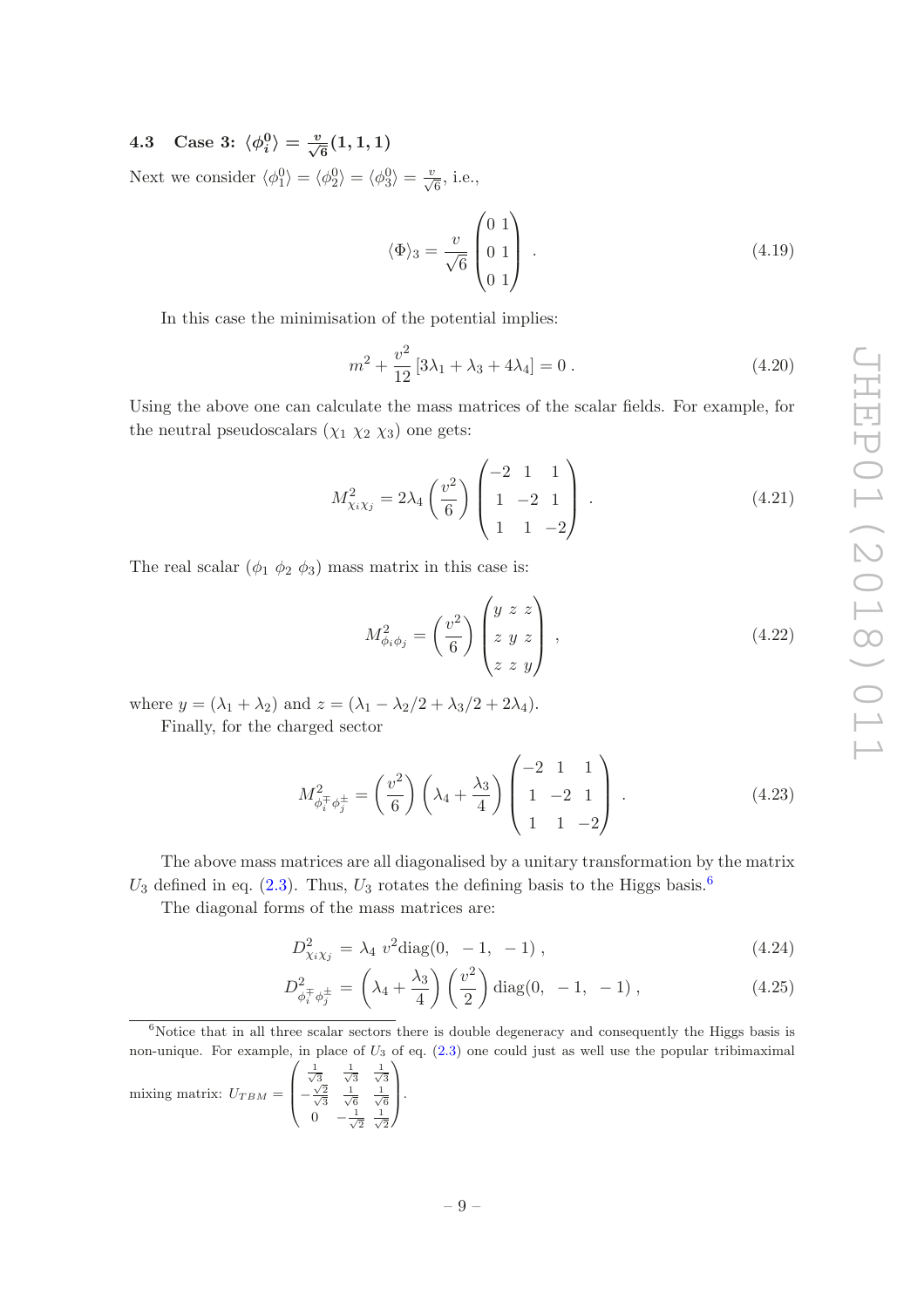<span id="page-9-0"></span>4.3 Case 3:  $\langle \phi_i^0 \rangle = \frac{v}{\sqrt{6}}(1, 1, 1)$ 

Next we consider  $\langle \phi_1^0 \rangle = \langle \phi_2^0 \rangle = \langle \phi_3^0 \rangle = \frac{v}{\sqrt{6}}$ , i.e.,

$$
\langle \Phi \rangle_3 = \frac{v}{\sqrt{6}} \begin{pmatrix} 0 & 1 \\ 0 & 1 \\ 0 & 1 \end{pmatrix} . \tag{4.19}
$$

In this case the minimisation of the potential implies:

$$
m^{2} + \frac{v^{2}}{12} \left[ 3\lambda_{1} + \lambda_{3} + 4\lambda_{4} \right] = 0.
$$
 (4.20)

Using the above one can calculate the mass matrices of the scalar fields. For example, for the neutral pseudoscalars  $(\chi_1 \chi_2 \chi_3)$  one gets:

$$
M_{\chi_i\chi_j}^2 = 2\lambda_4 \left(\frac{v^2}{6}\right) \begin{pmatrix} -2 & 1 & 1\\ 1 & -2 & 1\\ 1 & 1 & -2 \end{pmatrix} . \tag{4.21}
$$

The real scalar  $(\phi_1 \phi_2 \phi_3)$  mass matrix in this case is:

$$
M_{\phi_i \phi_j}^2 = \left(\frac{v^2}{6}\right) \begin{pmatrix} y & z & z \\ z & y & z \\ z & z & y \end{pmatrix}, \qquad (4.22)
$$

where  $y = (\lambda_1 + \lambda_2)$  and  $z = (\lambda_1 - \lambda_2/2 + \lambda_3/2 + 2\lambda_4)$ .

Finally, for the charged sector

$$
M_{\phi_i^{\pm} \phi_j^{\pm}}^2 = \left(\frac{v^2}{6}\right) \left(\lambda_4 + \frac{\lambda_3}{4}\right) \begin{pmatrix} -2 & 1 & 1\\ 1 & -2 & 1\\ 1 & 1 & -2 \end{pmatrix} . \tag{4.23}
$$

The above mass matrices are all diagonalised by a unitary transformation by the matrix  $U_3$  defined in eq. [\(2.3\)](#page-3-3). Thus,  $U_3$  rotates the defining basis to the Higgs basis.<sup>[6](#page-9-1)</sup>

The diagonal forms of the mass matrices are:

<span id="page-9-2"></span>
$$
D_{\chi_i\chi_j}^2 = \lambda_4 \ v^2 \text{diag}(0, -1, -1) \,, \tag{4.24}
$$

$$
D_{\phi_i^{\pm} \phi_j^{\pm}}^2 = \left(\lambda_4 + \frac{\lambda_3}{4}\right) \left(\frac{v^2}{2}\right) \text{diag}(0, -1, -1), \qquad (4.25)
$$

mixing matrix:  $U_{TBM} =$  $\overline{\phantom{a}}$  $-\frac{\sqrt{2}}{\sqrt{3}}$   $\frac{1}{\sqrt{6}}$   $\frac{1}{\sqrt{6}}$ <br>0  $-\frac{1}{\sqrt{2}}$   $\frac{1}{\sqrt{2}}$  $\vert \cdot \vert$ 

<span id="page-9-1"></span> $6$ Notice that in all three scalar sectors there is double degeneracy and consequently the Higgs basis is non-unique. For example, in place of  $U_3$  of eq. [\(2.3\)](#page-3-3) one could just as well use the popular tribimaximal  $\sqrt{ }$  $\frac{1}{\sqrt{3}}$   $\frac{1}{\sqrt{3}}$   $\frac{1}{\sqrt{3}}$  $\setminus$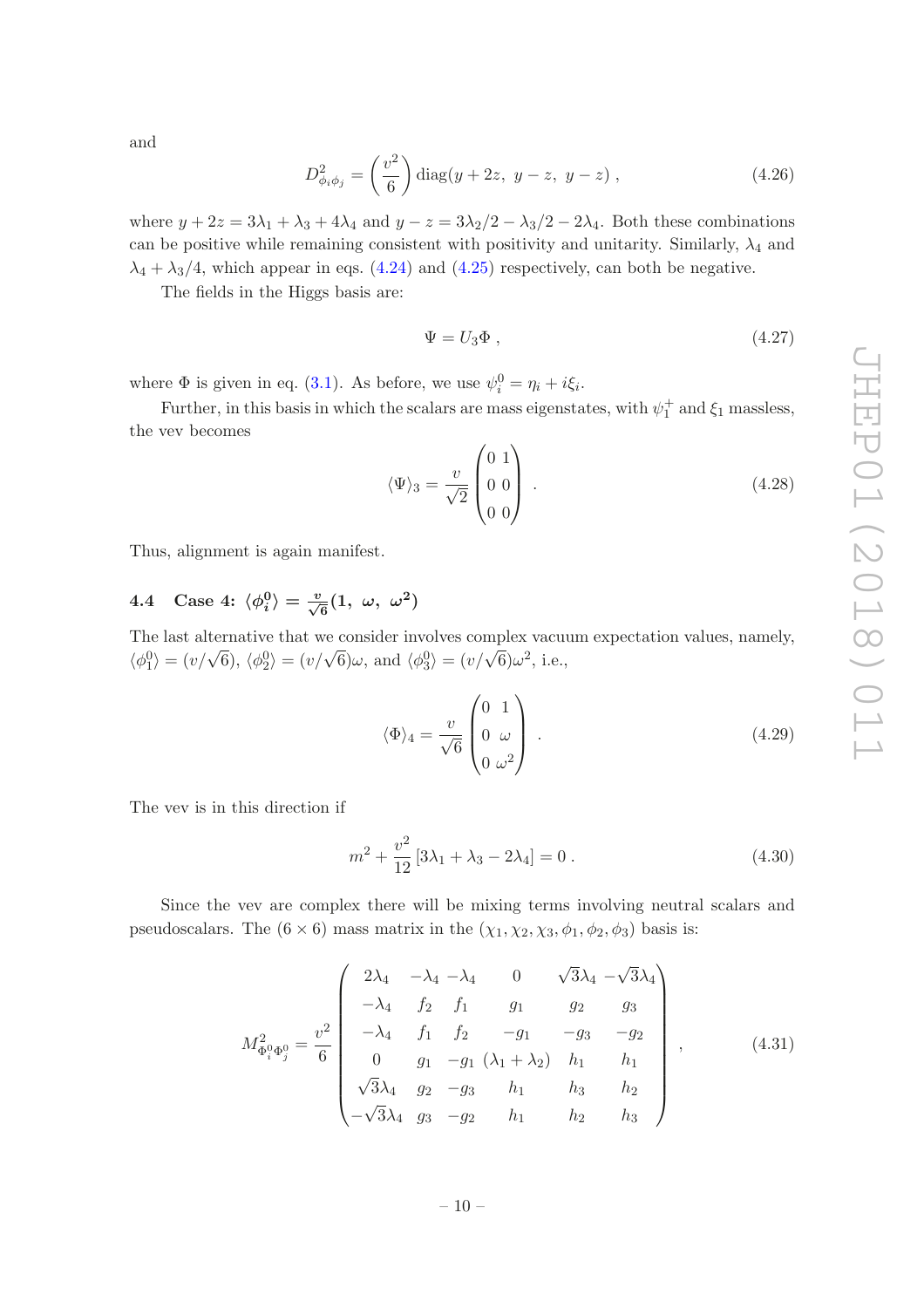and

$$
D_{\phi_i \phi_j}^2 = \left(\frac{v^2}{6}\right) \text{diag}(y + 2z, y - z, y - z), \qquad (4.26)
$$

where  $y + 2z = 3\lambda_1 + \lambda_3 + 4\lambda_4$  and  $y - z = 3\lambda_2/2 - \lambda_3/2 - 2\lambda_4$ . Both these combinations can be positive while remaining consistent with positivity and unitarity. Similarly,  $\lambda_4$  and  $\lambda_4 + \lambda_3/4$ , which appear in eqs. [\(4.24\)](#page-9-2) and [\(4.25\)](#page-9-2) respectively, can both be negative.

The fields in the Higgs basis are:

$$
\Psi = U_3 \Phi , \qquad (4.27)
$$

where  $\Phi$  is given in eq. [\(3.1\)](#page-4-4). As before, we use  $\psi_i^0 = \eta_i + i\xi_i$ .

Further, in this basis in which the scalars are mass eigenstates, with  $\psi_1^+$  and  $\xi_1$  massless, the vev becomes

$$
\langle \Psi \rangle_3 = \frac{v}{\sqrt{2}} \begin{pmatrix} 0 & 1 \\ 0 & 0 \\ 0 & 0 \end{pmatrix} . \tag{4.28}
$$

Thus, alignment is again manifest.

## <span id="page-10-0"></span>4.4 Case 4:  $\langle \phi_i^0 \rangle = \frac{v}{\sqrt{6}}(1, \ \omega, \ \omega^2)$

The last alternative that we consider involves complex vacuum expectation values, namely,  $\langle \phi_1^0 \rangle = (v/\sqrt{6}), \langle \phi_2^0 \rangle = (v/\sqrt{6})\omega$ , and  $\langle \phi_3^0 \rangle = (v/\sqrt{6})\omega^2$ , i.e.,

$$
\langle \Phi \rangle_4 = \frac{v}{\sqrt{6}} \begin{pmatrix} 0 & 1 \\ 0 & \omega \\ 0 & \omega^2 \end{pmatrix} . \tag{4.29}
$$

The vev is in this direction if

<span id="page-10-2"></span>
$$
m^2 + \frac{v^2}{12} [3\lambda_1 + \lambda_3 - 2\lambda_4] = 0.
$$
 (4.30)

Since the vev are complex there will be mixing terms involving neutral scalars and pseudoscalars. The  $(6 \times 6)$  mass matrix in the  $(\chi_1, \chi_2, \chi_3, \phi_1, \phi_2, \phi_3)$  basis is:

<span id="page-10-1"></span>
$$
M_{\Phi_i^0 \Phi_j^0}^2 = \frac{v^2}{6} \begin{pmatrix} 2\lambda_4 & -\lambda_4 & -\lambda_4 & 0 & \sqrt{3}\lambda_4 & -\sqrt{3}\lambda_4 \\ -\lambda_4 & f_2 & f_1 & g_1 & g_2 & g_3 \\ -\lambda_4 & f_1 & f_2 & -g_1 & -g_3 & -g_2 \\ 0 & g_1 & -g_1 & (\lambda_1 + \lambda_2) & h_1 & h_1 \\ \sqrt{3}\lambda_4 & g_2 & -g_3 & h_1 & h_3 & h_2 \\ -\sqrt{3}\lambda_4 & g_3 & -g_2 & h_1 & h_2 & h_3 \end{pmatrix},
$$
(4.31)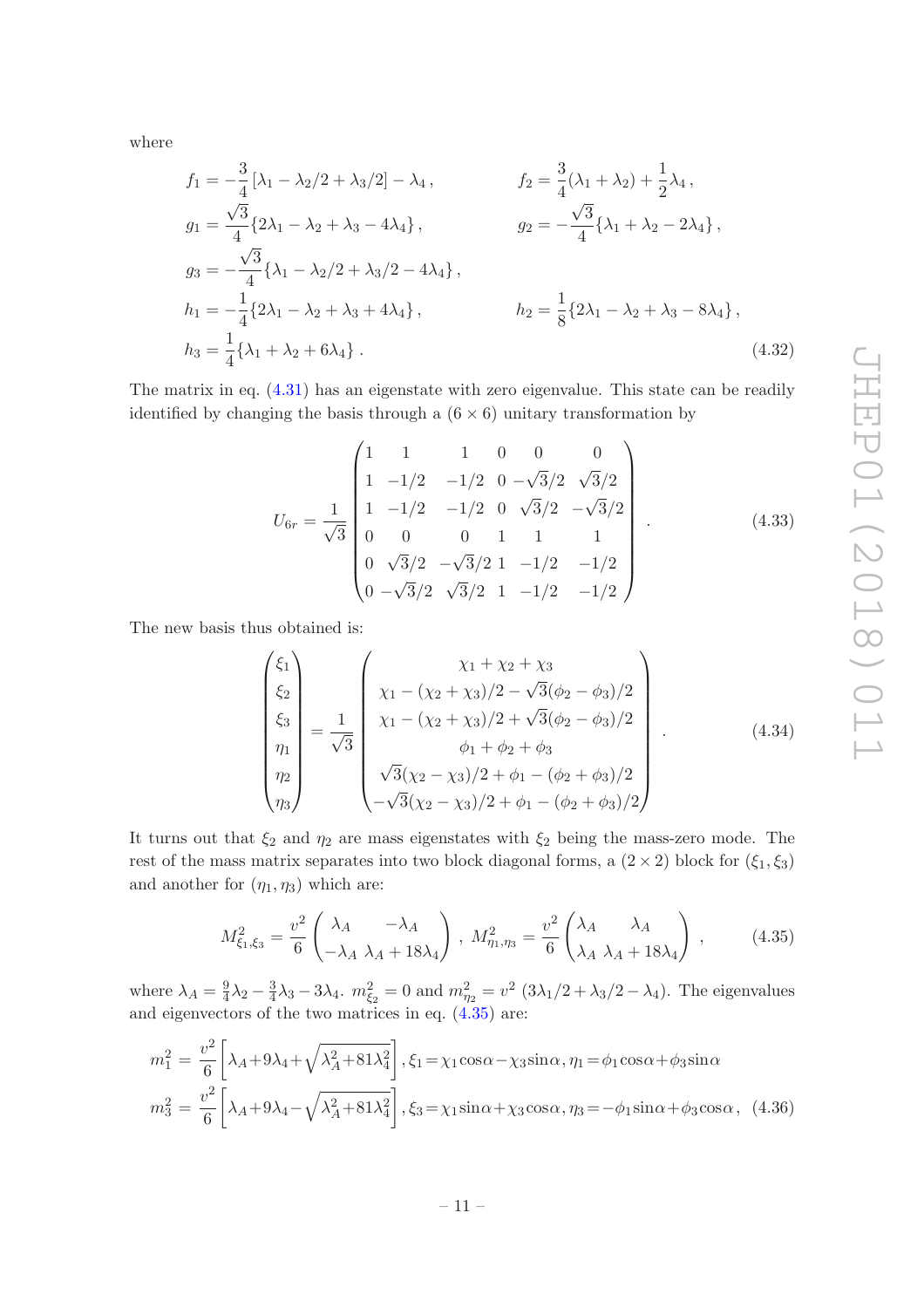where

$$
f_1 = -\frac{3}{4} [\lambda_1 - \lambda_2/2 + \lambda_3/2] - \lambda_4, \qquad f_2 = \frac{3}{4} (\lambda_1 + \lambda_2) + \frac{1}{2} \lambda_4,
$$
  
\n
$$
g_1 = \frac{\sqrt{3}}{4} \{2\lambda_1 - \lambda_2 + \lambda_3 - 4\lambda_4\}, \qquad g_2 = -\frac{\sqrt{3}}{4} \{\lambda_1 + \lambda_2 - 2\lambda_4\},
$$
  
\n
$$
g_3 = -\frac{\sqrt{3}}{4} \{\lambda_1 - \lambda_2/2 + \lambda_3/2 - 4\lambda_4\}, \qquad h_2 = \frac{1}{8} \{2\lambda_1 - \lambda_2 + \lambda_3 - 8\lambda_4\},
$$
  
\n
$$
h_3 = \frac{1}{4} \{\lambda_1 + \lambda_2 + 6\lambda_4\}.
$$
  
\n(4.32)

The matrix in eq. [\(4.31\)](#page-10-1) has an eigenstate with zero eigenvalue. This state can be readily identified by changing the basis through a  $(6 \times 6)$  unitary transformation by

<span id="page-11-1"></span>
$$
U_{6r} = \frac{1}{\sqrt{3}} \begin{pmatrix} 1 & 1 & 1 & 0 & 0 & 0 \\ 1 & -1/2 & -1/2 & 0 & -\sqrt{3}/2 & \sqrt{3}/2 \\ 1 & -1/2 & -1/2 & 0 & \sqrt{3}/2 & -\sqrt{3}/2 \\ 0 & 0 & 0 & 1 & 1 & 1 \\ 0 & \sqrt{3}/2 & -\sqrt{3}/2 & 1 & -1/2 & -1/2 \\ 0 & -\sqrt{3}/2 & \sqrt{3}/2 & 1 & -1/2 & -1/2 \end{pmatrix} .
$$
 (4.33)

The new basis thus obtained is:

$$
\begin{pmatrix}\n\xi_1 \\
\xi_2 \\
\xi_3 \\
\eta_1 \\
\eta_2 \\
\eta_3\n\end{pmatrix} = \frac{1}{\sqrt{3}} \begin{pmatrix}\n\chi_1 + \chi_2 + \chi_3 \\
\chi_1 - (\chi_2 + \chi_3)/2 - \sqrt{3}(\phi_2 - \phi_3)/2 \\
\chi_1 - (\chi_2 + \chi_3)/2 + \sqrt{3}(\phi_2 - \phi_3)/2 \\
\phi_1 + \phi_2 + \phi_3 \\
\sqrt{3}(\chi_2 - \chi_3)/2 + \phi_1 - (\phi_2 + \phi_3)/2 \\
-\sqrt{3}(\chi_2 - \chi_3)/2 + \phi_1 - (\phi_2 + \phi_3)/2\n\end{pmatrix} .
$$
\n(4.34)

It turns out that  $\xi_2$  and  $\eta_2$  are mass eigenstates with  $\xi_2$  being the mass-zero mode. The rest of the mass matrix separates into two block diagonal forms, a  $(2 \times 2)$  block for  $(\xi_1, \xi_3)$ and another for  $(\eta_1, \eta_3)$  which are:

<span id="page-11-0"></span>
$$
M_{\xi_1,\xi_3}^2 = \frac{v^2}{6} \begin{pmatrix} \lambda_A & -\lambda_A \\ -\lambda_A & \lambda_A + 18\lambda_4 \end{pmatrix} \,,\ M_{\eta_1,\eta_3}^2 = \frac{v^2}{6} \begin{pmatrix} \lambda_A & \lambda_A \\ \lambda_A & \lambda_A + 18\lambda_4 \end{pmatrix} \,,\tag{4.35}
$$

where  $\lambda_A = \frac{9}{4}$  $\frac{9}{4}\lambda_2 - \frac{3}{4}$  $\frac{3}{4}\lambda_3 - 3\lambda_4$ .  $m_{\xi_2}^2 = 0$  and  $m_{\eta_2}^2 = v^2 (3\lambda_1/2 + \lambda_3/2 - \lambda_4)$ . The eigenvalues and eigenvectors of the two matrices in eq. [\(4.35\)](#page-11-0) are:

$$
m_1^2 = \frac{v^2}{6} \left[ \lambda_A + 9\lambda_4 + \sqrt{\lambda_A^2 + 81\lambda_4^2} \right], \xi_1 = \chi_1 \cos\alpha - \chi_3 \sin\alpha, \eta_1 = \phi_1 \cos\alpha + \phi_3 \sin\alpha
$$
  

$$
m_3^2 = \frac{v^2}{6} \left[ \lambda_A + 9\lambda_4 - \sqrt{\lambda_A^2 + 81\lambda_4^2} \right], \xi_3 = \chi_1 \sin\alpha + \chi_3 \cos\alpha, \eta_3 = -\phi_1 \sin\alpha + \phi_3 \cos\alpha, \quad (4.36)
$$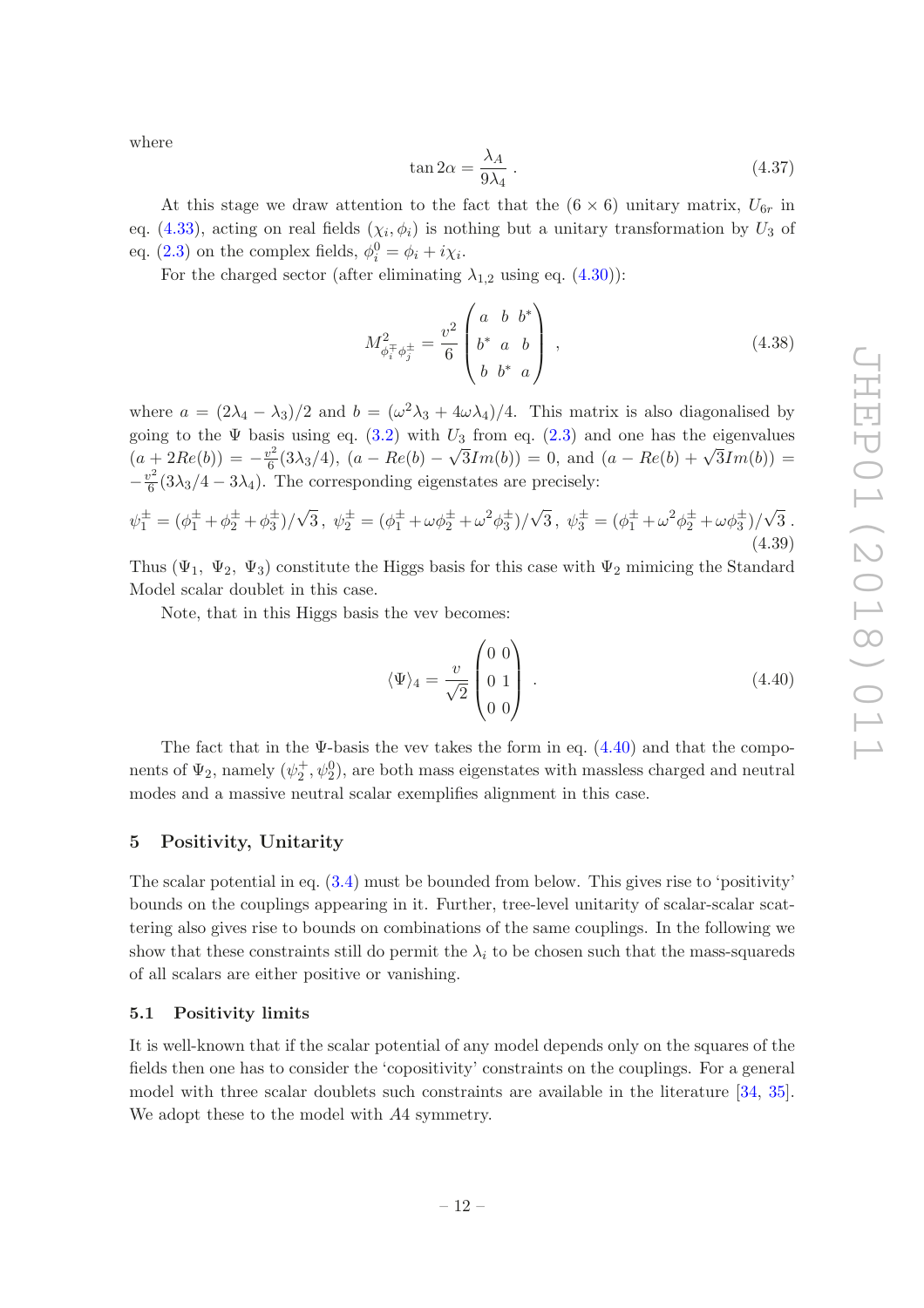where

$$
\tan 2\alpha = \frac{\lambda_A}{9\lambda_4} \,. \tag{4.37}
$$

At this stage we draw attention to the fact that the  $(6 \times 6)$  unitary matrix,  $U_{6r}$  in eq. [\(4.33\)](#page-11-1), acting on real fields  $(\chi_i, \phi_i)$  is nothing but a unitary transformation by  $U_3$  of eq. [\(2.3\)](#page-3-3) on the complex fields,  $\phi_i^0 = \phi_i + i\chi_i$ .

For the charged sector (after eliminating  $\lambda_{1,2}$  using eq. [\(4.30\)](#page-10-2)):

$$
M_{\phi_i^{\pm} \phi_j^{\pm}}^2 = \frac{v^2}{6} \begin{pmatrix} a & b & b^* \\ b^* & a & b \\ b & b^* & a \end{pmatrix} , \qquad (4.38)
$$

where  $a = (2\lambda_4 - \lambda_3)/2$  and  $b = (\omega^2 \lambda_3 + 4\omega \lambda_4)/4$ . This matrix is also diagonalised by going to the  $\Psi$  basis using eq. [\(3.2\)](#page-4-3) with  $U_3$  from eq. [\(2.3\)](#page-3-3) and one has the eigenvalues  $(a + 2Re(b)) = -\frac{v^2}{6}$  $\frac{1}{2} \cdot 2Re(b) = -\frac{v^2}{6}(3\lambda_3/4), (a - Re(b) - \sqrt{3}Im(b)) = 0$ , and  $(a - Re(b) + \sqrt{3}Im(b)) =$  $-\frac{v}{\epsilon}$  $\frac{6}{6}(3\lambda_3/4-3\lambda_4)$ . The corresponding eigenstates are precisely:

$$
\psi_1^{\pm} = (\phi_1^{\pm} + \phi_2^{\pm} + \phi_3^{\pm})/\sqrt{3}, \quad \psi_2^{\pm} = (\phi_1^{\pm} + \omega \phi_2^{\pm} + \omega^2 \phi_3^{\pm})/\sqrt{3}, \quad \psi_3^{\pm} = (\phi_1^{\pm} + \omega^2 \phi_2^{\pm} + \omega \phi_3^{\pm})/\sqrt{3}.
$$
\n(4.39)

Thus ( $\Psi_1$ ,  $\Psi_2$ ,  $\Psi_3$ ) constitute the Higgs basis for this case with  $\Psi_2$  mimicing the Standard Model scalar doublet in this case.

Note, that in this Higgs basis the vev becomes:

<span id="page-12-2"></span>
$$
\langle \Psi \rangle_4 = \frac{v}{\sqrt{2}} \begin{pmatrix} 0 & 0 \\ 0 & 1 \\ 0 & 0 \end{pmatrix} . \tag{4.40}
$$

The fact that in the  $\Psi$ -basis the vev takes the form in eq.  $(4.40)$  and that the components of  $\Psi_2$ , namely  $(\psi_2^+, \psi_2^0)$ , are both mass eigenstates with massless charged and neutral modes and a massive neutral scalar exemplifies alignment in this case.

### <span id="page-12-0"></span>5 Positivity, Unitarity

The scalar potential in eq. [\(3.4\)](#page-5-2) must be bounded from below. This gives rise to 'positivity' bounds on the couplings appearing in it. Further, tree-level unitarity of scalar-scalar scattering also gives rise to bounds on combinations of the same couplings. In the following we show that these constraints still do permit the  $\lambda_i$  to be chosen such that the mass-squareds of all scalars are either positive or vanishing.

### <span id="page-12-1"></span>5.1 Positivity limits

It is well-known that if the scalar potential of any model depends only on the squares of the fields then one has to consider the 'copositivity' constraints on the couplings. For a general model with three scalar doublets such constraints are available in the literature [\[34,](#page-20-9) [35\]](#page-20-10). We adopt these to the model with A4 symmetry.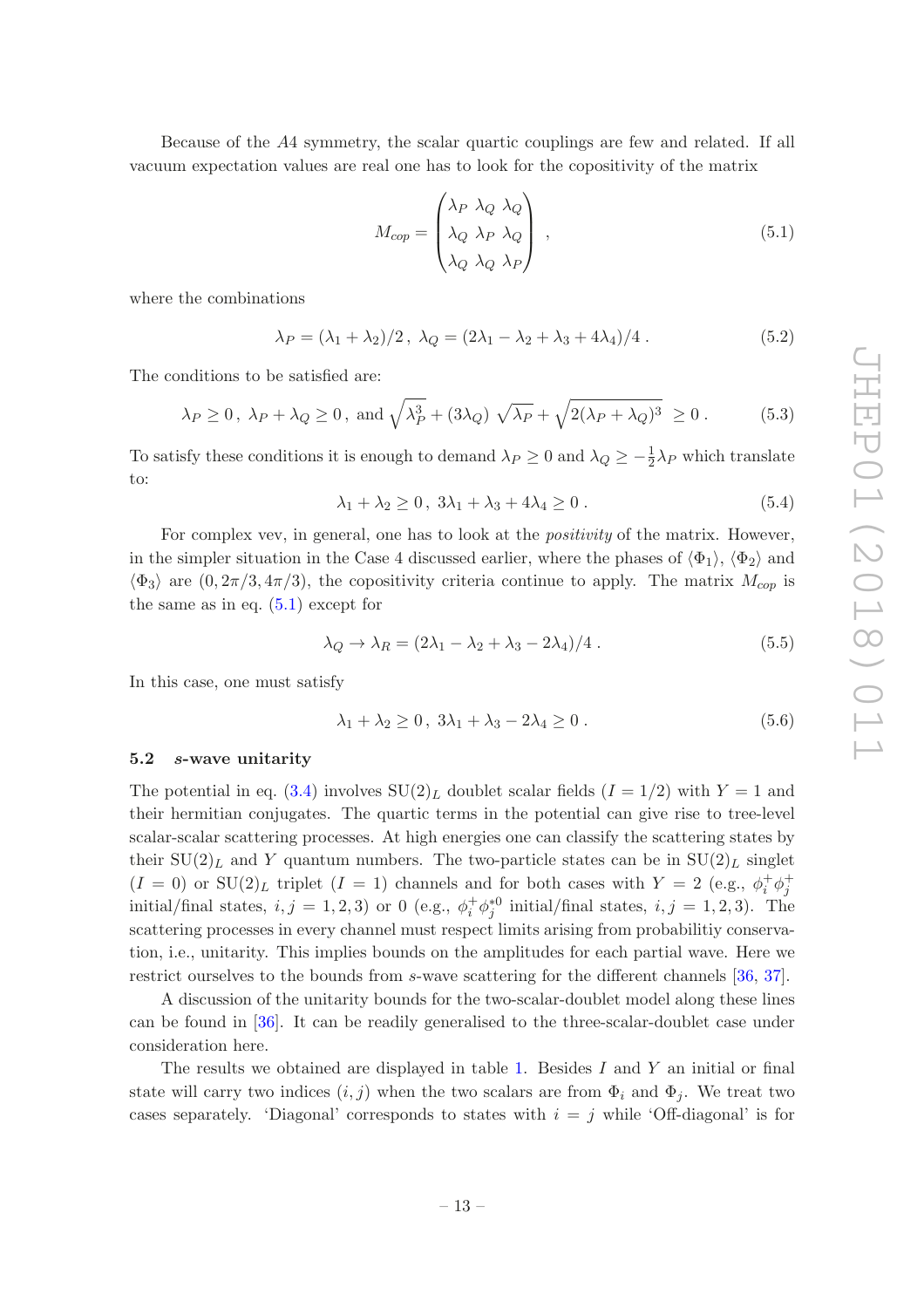Because of the A4 symmetry, the scalar quartic couplings are few and related. If all vacuum expectation values are real one has to look for the copositivity of the matrix

<span id="page-13-1"></span>
$$
M_{cop} = \begin{pmatrix} \lambda_P & \lambda_Q & \lambda_Q \\ \lambda_Q & \lambda_P & \lambda_Q \\ \lambda_Q & \lambda_Q & \lambda_P \end{pmatrix} , \qquad (5.1)
$$

where the combinations

$$
\lambda_P = (\lambda_1 + \lambda_2)/2, \ \lambda_Q = (2\lambda_1 - \lambda_2 + \lambda_3 + 4\lambda_4)/4. \tag{5.2}
$$

The conditions to be satisfied are:

$$
\lambda_P \ge 0
$$
,  $\lambda_P + \lambda_Q \ge 0$ , and  $\sqrt{\lambda_P^3 + (3\lambda_Q) \sqrt{\lambda_P} + \sqrt{2(\lambda_P + \lambda_Q)^3}} \ge 0$ . (5.3)

To satisfy these conditions it is enough to demand  $\lambda_P \ge 0$  and  $\lambda_Q \ge -\frac{1}{2}\lambda_P$  which translate to:

<span id="page-13-2"></span>
$$
\lambda_1 + \lambda_2 \ge 0, \ 3\lambda_1 + \lambda_3 + 4\lambda_4 \ge 0 \,. \tag{5.4}
$$

For complex vev, in general, one has to look at the *positivity* of the matrix. However, in the simpler situation in the Case 4 discussed earlier, where the phases of  $\langle \Phi_1 \rangle$ ,  $\langle \Phi_2 \rangle$  and  $\langle \Phi_3 \rangle$  are  $(0, 2\pi/3, 4\pi/3)$ , the copositivity criteria continue to apply. The matrix  $M_{\text{cop}}$  is the same as in eq.  $(5.1)$  except for

$$
\lambda_Q \to \lambda_R = (2\lambda_1 - \lambda_2 + \lambda_3 - 2\lambda_4)/4. \tag{5.5}
$$

In this case, one must satisfy

<span id="page-13-3"></span>
$$
\lambda_1 + \lambda_2 \ge 0, \ 3\lambda_1 + \lambda_3 - 2\lambda_4 \ge 0 \,. \tag{5.6}
$$

### <span id="page-13-0"></span>5.2 s-wave unitarity

The potential in eq. [\(3.4\)](#page-5-2) involves  $SU(2)_L$  doublet scalar fields  $(I = 1/2)$  with  $Y = 1$  and their hermitian conjugates. The quartic terms in the potential can give rise to tree-level scalar-scalar scattering processes. At high energies one can classify the scattering states by their  $SU(2)_L$  and Y quantum numbers. The two-particle states can be in  $SU(2)_L$  singlet  $(I = 0)$  or  $SU(2)_L$  triplet  $(I = 1)$  channels and for both cases with  $Y = 2$  (e.g.,  $\phi_i^+ \phi_j^+$ initial/final states,  $i, j = 1, 2, 3$  or 0 (e.g.,  $\phi_i^+ \phi_j^*{}^0$  initial/final states,  $i, j = 1, 2, 3$ ). The scattering processes in every channel must respect limits arising from probabilitiy conservation, i.e., unitarity. This implies bounds on the amplitudes for each partial wave. Here we restrict ourselves to the bounds from s-wave scattering for the different channels [\[36](#page-20-11), [37\]](#page-20-12).

A discussion of the unitarity bounds for the two-scalar-doublet model along these lines can be found in [\[36\]](#page-20-11). It can be readily generalised to the three-scalar-doublet case under consideration here.

The results we obtained are displayed in table [1.](#page-14-0) Besides  $I$  and  $Y$  an initial or final state will carry two indices  $(i, j)$  when the two scalars are from  $\Phi_i$  and  $\Phi_j$ . We treat two cases separately. 'Diagonal' corresponds to states with  $i = j$  while 'Off-diagonal' is for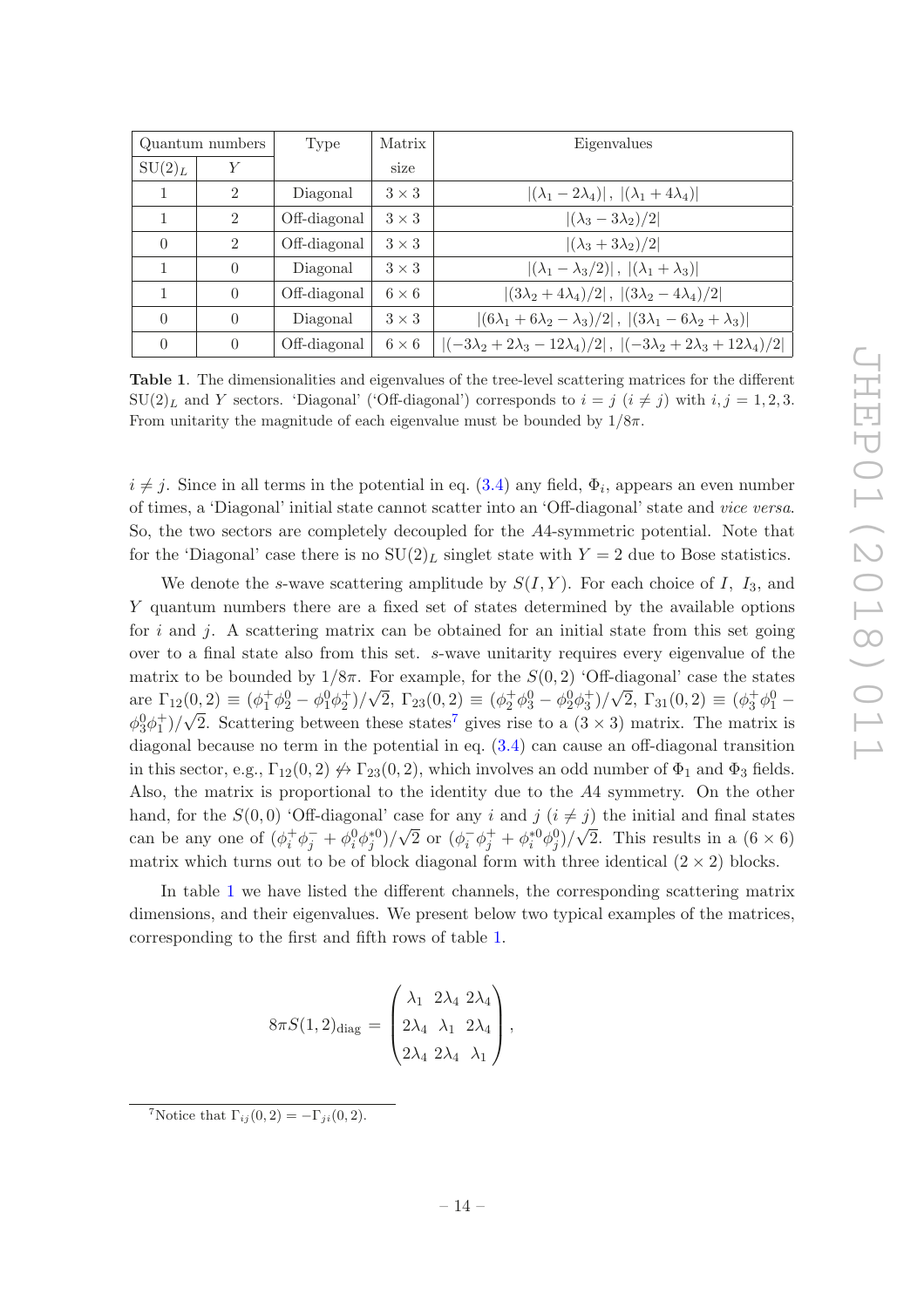|           | Quantum numbers             | Type         | Matrix       | Eigenvalues                                                                                     |
|-----------|-----------------------------|--------------|--------------|-------------------------------------------------------------------------------------------------|
| $SU(2)_L$ | Y                           |              | size         |                                                                                                 |
|           | $\mathcal{D}_{\mathcal{L}}$ | Diagonal     | $3 \times 3$ | $ (\lambda_1-2\lambda_4) ,  (\lambda_1+4\lambda_4) $                                            |
|           | $\mathcal{D}$               | Off-diagonal | $3 \times 3$ | $ (\lambda_3-3\lambda_2)/2 $                                                                    |
| $\Omega$  | $\mathcal{D}$               | Off-diagonal | $3 \times 3$ | $ (\lambda_3+3\lambda_2)/2 $                                                                    |
|           | $\left( \right)$            | Diagonal     | $3 \times 3$ | $ (\lambda_1 - \lambda_3/2) ,  (\lambda_1 + \lambda_3) $                                        |
|           | $\Omega$                    | Off-diagonal | $6 \times 6$ | $ (3\lambda_2 + 4\lambda_4)/2 ,  (3\lambda_2 - 4\lambda_4)/2 $                                  |
| $\Omega$  | $\Omega$                    | Diagonal     | $3 \times 3$ | $ (6\lambda_1+6\lambda_2-\lambda_3)/2 ,  (3\lambda_1-6\lambda_2+\lambda_3) $                    |
| $\Omega$  | $\Omega$                    | Off-diagonal | $6 \times 6$ | $ (-3\lambda_2 + 2\lambda_3 - 12\lambda_4)/2 $ , $ (-3\lambda_2 + 2\lambda_3 + 12\lambda_4)/2 $ |

<span id="page-14-0"></span>Table 1. The dimensionalities and eigenvalues of the tree-level scattering matrices for the different  $SU(2)_L$  and Y sectors. 'Diagonal' ('Off-diagonal') corresponds to  $i = j$   $(i \neq j)$  with  $i, j = 1, 2, 3$ . From unitarity the magnitude of each eigenvalue must be bounded by  $1/8\pi$ .

 $i \neq j$ . Since in all terms in the potential in eq. [\(3.4\)](#page-5-2) any field,  $\Phi_i$ , appears an even number of times, a 'Diagonal' initial state cannot scatter into an 'Off-diagonal' state and *vice versa*. So, the two sectors are completely decoupled for the A4-symmetric potential. Note that for the 'Diagonal' case there is no  $SU(2)_L$  singlet state with  $Y = 2$  due to Bose statistics.

We denote the s-wave scattering amplitude by  $S(I, Y)$ . For each choice of I, I<sub>3</sub>, and Y quantum numbers there are a fixed set of states determined by the available options for i and j. A scattering matrix can be obtained for an initial state from this set going over to a final state also from this set. s-wave unitarity requires every eigenvalue of the matrix to be bounded by  $1/8\pi$ . For example, for the  $S(0, 2)$  'Off-diagonal' case the states are  $\Gamma_{12}(0,2) \equiv (\phi_1^+ \phi_2^0 - \phi_1^0 \phi_2^+) / \sqrt{2}$ ,  $\Gamma_{23}(0,2) \equiv (\phi_2^+ \phi_3^0 - \phi_2^0 \phi_3^+) / \sqrt{2}$ ,  $\Gamma_{31}(0,2) \equiv (\phi_3^+ \phi_1^0 - \phi_2^0 \phi_3^+) / \sqrt{2}$  $\phi_3^0\phi_1^+\rightarrow\sqrt{2}$ . Scattering between these states<sup>[7](#page-14-1)</sup> gives rise to a  $(3\times3)$  matrix. The matrix is diagonal because no term in the potential in eq. [\(3.4\)](#page-5-2) can cause an off-diagonal transition in this sector, e.g.,  $\Gamma_{12}(0, 2) \not\leftrightarrow \Gamma_{23}(0, 2)$ , which involves an odd number of  $\Phi_1$  and  $\Phi_3$  fields. Also, the matrix is proportional to the identity due to the A4 symmetry. On the other hand, for the  $S(0,0)$  'Off-diagonal' case for any i and j  $(i \neq j)$  the initial and final states can be any one of  $(\phi_i^+\phi_j^- + \phi_i^0\phi_j^*)/\sqrt{2}$  or  $(\phi_i^-\phi_j^+ + \phi_i^*0\phi_j^0)/\sqrt{2}$ . This results in a  $(6 \times 6)$ matrix which turns out to be of block diagonal form with three identical  $(2 \times 2)$  blocks.

In table [1](#page-14-0) we have listed the different channels, the corresponding scattering matrix dimensions, and their eigenvalues. We present below two typical examples of the matrices, corresponding to the first and fifth rows of table [1.](#page-14-0)

$$
8\pi S(1,2)_{\text{diag}} = \begin{pmatrix} \lambda_1 & 2\lambda_4 & 2\lambda_4 \\ 2\lambda_4 & \lambda_1 & 2\lambda_4 \\ 2\lambda_4 & 2\lambda_4 & \lambda_1 \end{pmatrix},
$$

<span id="page-14-1"></span><sup>&</sup>lt;sup>7</sup>Notice that  $\Gamma_{ij}(0, 2) = -\Gamma_{ji}(0, 2)$ .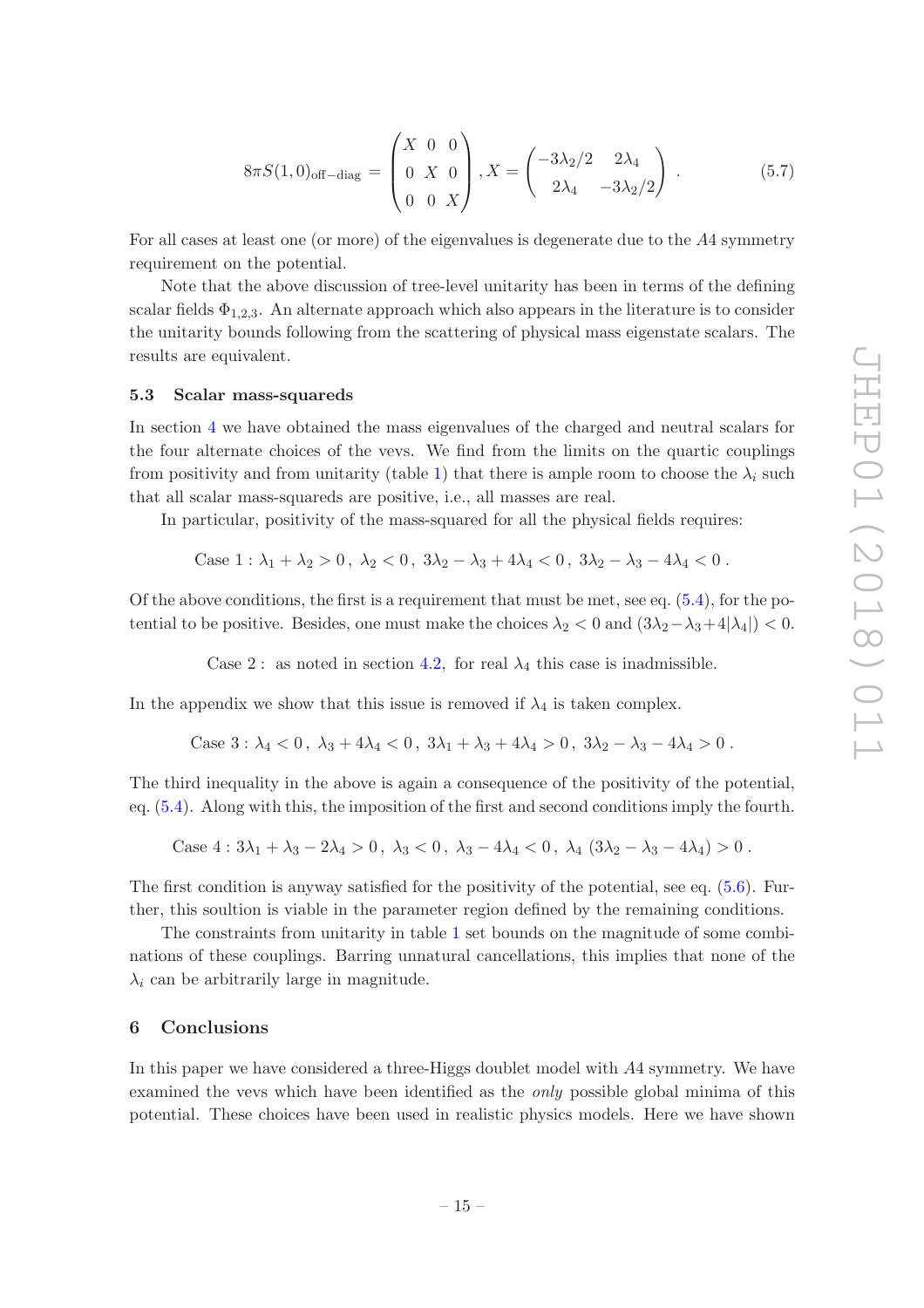$$
8\pi S(1,0)_{\text{off-diag}} = \begin{pmatrix} X & 0 & 0 \\ 0 & X & 0 \\ 0 & 0 & X \end{pmatrix}, X = \begin{pmatrix} -3\lambda_2/2 & 2\lambda_4 \\ 2\lambda_4 & -3\lambda_2/2 \end{pmatrix} . \tag{5.7}
$$

For all cases at least one (or more) of the eigenvalues is degenerate due to the A4 symmetry requirement on the potential.

Note that the above discussion of tree-level unitarity has been in terms of the defining scalar fields  $\Phi_{1,2,3}$ . An alternate approach which also appears in the literature is to consider the unitarity bounds following from the scattering of physical mass eigenstate scalars. The results are equivalent.

#### <span id="page-15-0"></span>5.3 Scalar mass-squareds

In section [4](#page-5-1) we have obtained the mass eigenvalues of the charged and neutral scalars for the four alternate choices of the vevs. We find from the limits on the quartic couplings from positivity and from unitarity (table [1\)](#page-14-0) that there is ample room to choose the  $\lambda_i$  such that all scalar mass-squareds are positive, i.e., all masses are real.

In particular, positivity of the mass-squared for all the physical fields requires:

Case 1: 
$$
\lambda_1 + \lambda_2 > 0
$$
,  $\lambda_2 < 0$ ,  $3\lambda_2 - \lambda_3 + 4\lambda_4 < 0$ ,  $3\lambda_2 - \lambda_3 - 4\lambda_4 < 0$ .

Of the above conditions, the first is a requirement that must be met, see eq.  $(5.4)$ , for the potential to be positive. Besides, one must make the choices  $\lambda_2 < 0$  and  $(3\lambda_2-\lambda_3+4|\lambda_4|) < 0$ .

Case 2 : as noted in section [4](#page-7-0).2, for real  $\lambda_4$  this case is inadmissible.

In the appendix we show that this issue is removed if  $\lambda_4$  is taken complex.

Case  $3: \lambda_4 < 0$ ,  $\lambda_3 + 4\lambda_4 < 0$ ,  $3\lambda_1 + \lambda_3 + 4\lambda_4 > 0$ ,  $3\lambda_2 - \lambda_3 - 4\lambda_4 > 0$ .

The third inequality in the above is again a consequence of the positivity of the potential, eq. [\(5.4\)](#page-13-2). Along with this, the imposition of the first and second conditions imply the fourth.

Case 4: 
$$
3\lambda_1 + \lambda_3 - 2\lambda_4 > 0
$$
,  $\lambda_3 < 0$ ,  $\lambda_3 - 4\lambda_4 < 0$ ,  $\lambda_4 (3\lambda_2 - \lambda_3 - 4\lambda_4) > 0$ .

The first condition is anyway satisfied for the positivity of the potential, see eq. [\(5.6\)](#page-13-3). Further, this soultion is viable in the parameter region defined by the remaining conditions.

The constraints from unitarity in table [1](#page-14-0) set bounds on the magnitude of some combinations of these couplings. Barring unnatural cancellations, this implies that none of the  $\lambda_i$  can be arbitrarily large in magnitude.

#### <span id="page-15-1"></span>6 Conclusions

In this paper we have considered a three-Higgs doublet model with A4 symmetry. We have examined the vevs which have been identified as the *only* possible global minima of this potential. These choices have been used in realistic physics models. Here we have shown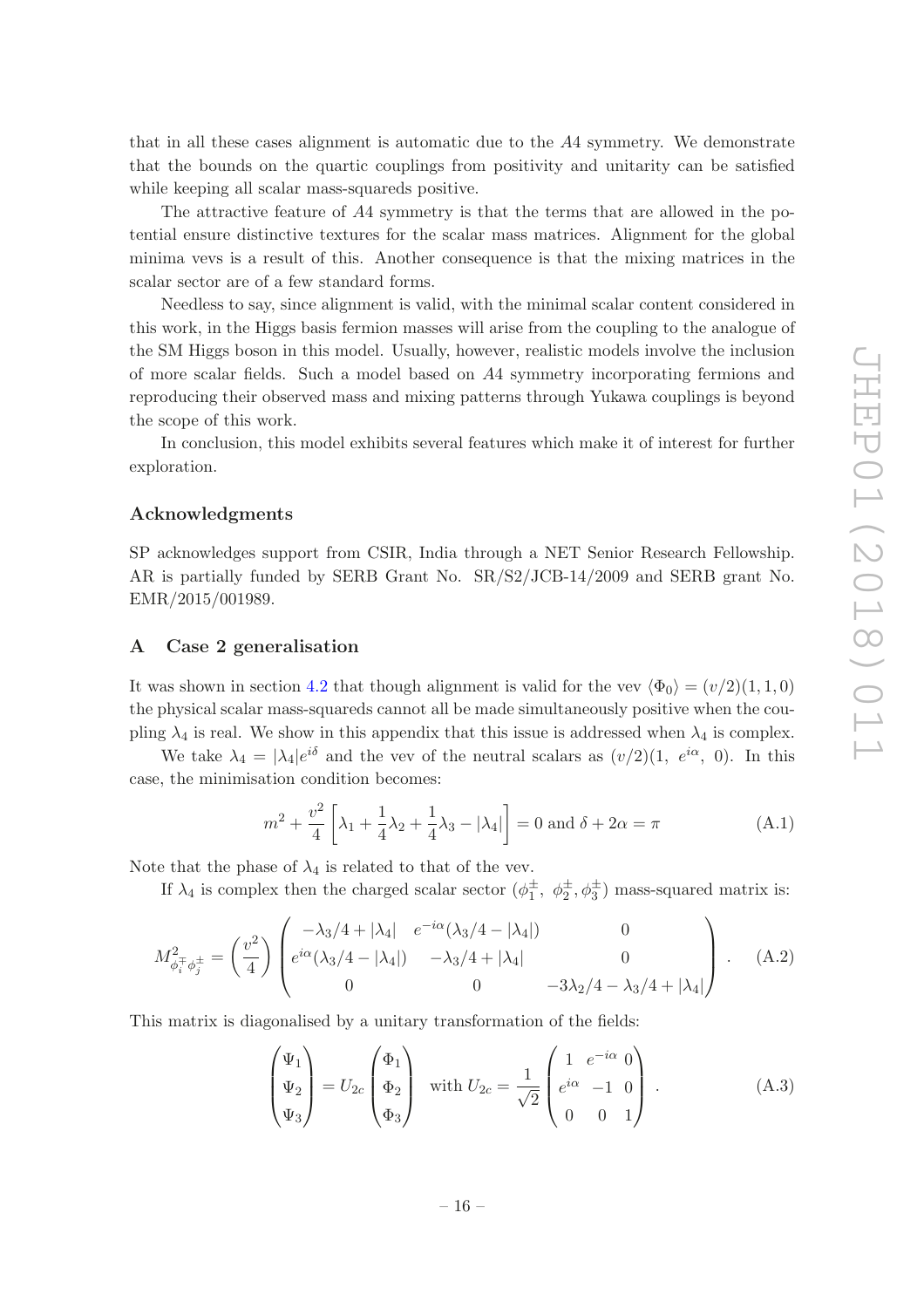that in all these cases alignment is automatic due to the A4 symmetry. We demonstrate that the bounds on the quartic couplings from positivity and unitarity can be satisfied while keeping all scalar mass-squareds positive.

The attractive feature of A4 symmetry is that the terms that are allowed in the potential ensure distinctive textures for the scalar mass matrices. Alignment for the global minima vevs is a result of this. Another consequence is that the mixing matrices in the scalar sector are of a few standard forms.

Needless to say, since alignment is valid, with the minimal scalar content considered in this work, in the Higgs basis fermion masses will arise from the coupling to the analogue of the SM Higgs boson in this model. Usually, however, realistic models involve the inclusion of more scalar fields. Such a model based on A4 symmetry incorporating fermions and reproducing their observed mass and mixing patterns through Yukawa couplings is beyond the scope of this work.

In conclusion, this model exhibits several features which make it of interest for further exploration.

### Acknowledgments

SP acknowledges support from CSIR, India through a NET Senior Research Fellowship. AR is partially funded by SERB Grant No. SR/S2/JCB-14/2009 and SERB grant No. EMR/2015/001989.

### <span id="page-16-0"></span>A Case 2 generalisation

It was shown in section [4.2](#page-7-0) that though alignment is valid for the vev  $\langle \Phi_0 \rangle = (v/2)(1, 1, 0)$ the physical scalar mass-squareds cannot all be made simultaneously positive when the coupling  $\lambda_4$  is real. We show in this appendix that this issue is addressed when  $\lambda_4$  is complex.

We take  $\lambda_4 = |\lambda_4|e^{i\delta}$  and the vev of the neutral scalars as  $(v/2)(1, e^{i\alpha}, 0)$ . In this case, the minimisation condition becomes:

$$
m^{2} + \frac{v^{2}}{4} \left[ \lambda_{1} + \frac{1}{4} \lambda_{2} + \frac{1}{4} \lambda_{3} - |\lambda_{4}| \right] = 0 \text{ and } \delta + 2\alpha = \pi
$$
 (A.1)

Note that the phase of  $\lambda_4$  is related to that of the vev.

If  $\lambda_4$  is complex then the charged scalar sector  $(\phi_1^{\pm}, \phi_2^{\pm}, \phi_3^{\pm})$  mass-squared matrix is:

$$
M_{\phi_i^{\pm}\phi_j^{\pm}}^2 = \left(\frac{v^2}{4}\right) \begin{pmatrix} -\lambda_3/4 + |\lambda_4| & e^{-i\alpha}(\lambda_3/4 - |\lambda_4|) & 0\\ e^{i\alpha}(\lambda_3/4 - |\lambda_4|) & -\lambda_3/4 + |\lambda_4| & 0\\ 0 & 0 & -3\lambda_2/4 - \lambda_3/4 + |\lambda_4|\end{pmatrix} .
$$
 (A.2)

This matrix is diagonalised by a unitary transformation of the fields:

<span id="page-16-1"></span>
$$
\begin{pmatrix} \Psi_1 \\ \Psi_2 \\ \Psi_3 \end{pmatrix} = U_{2c} \begin{pmatrix} \Phi_1 \\ \Phi_2 \\ \Phi_3 \end{pmatrix} \quad \text{with } U_{2c} = \frac{1}{\sqrt{2}} \begin{pmatrix} 1 & e^{-i\alpha} & 0 \\ e^{i\alpha} & -1 & 0 \\ 0 & 0 & 1 \end{pmatrix} . \tag{A.3}
$$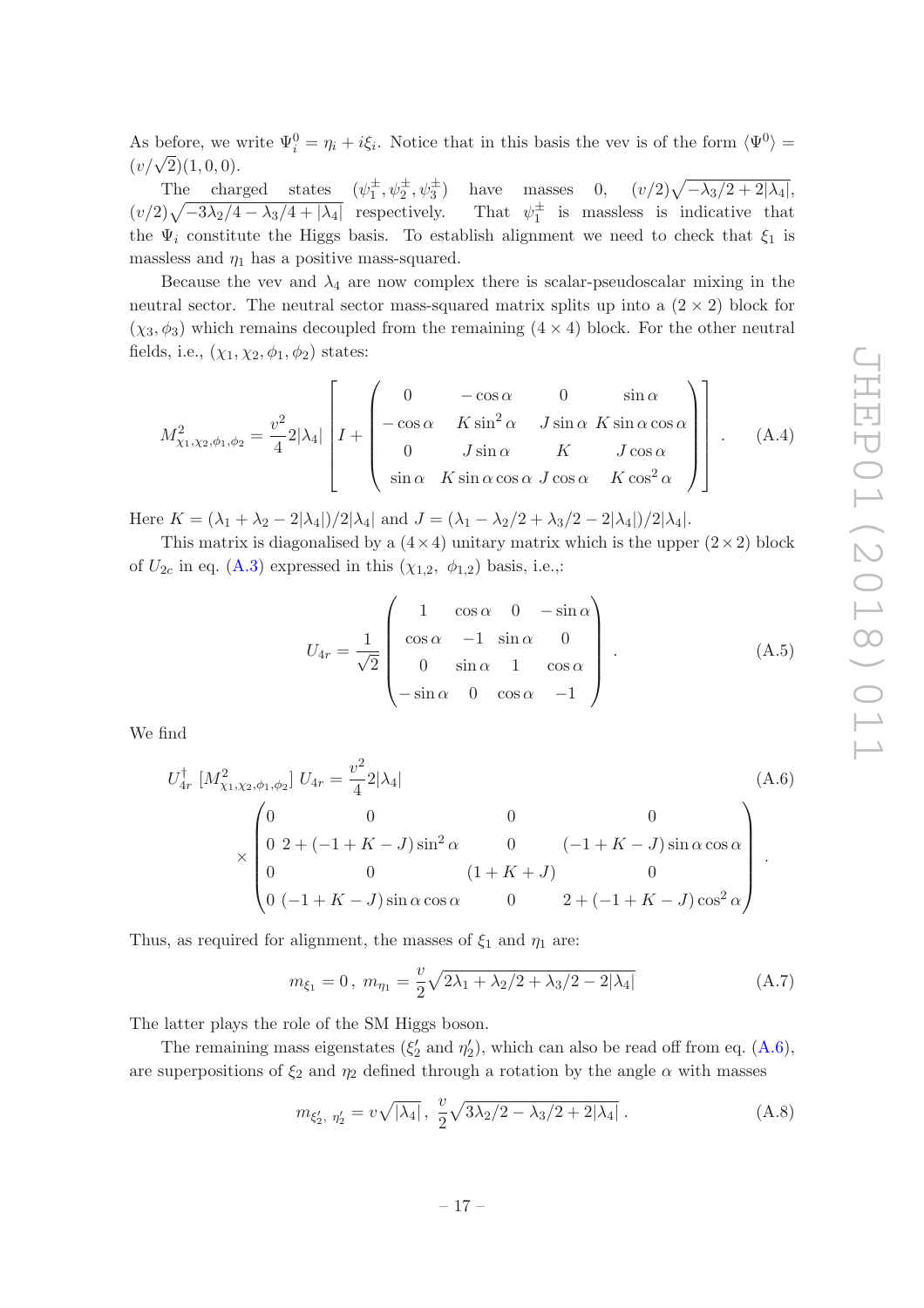As before, we write  $\Psi_i^0 = \eta_i + i\xi_i$ . Notice that in this basis the vev is of the form  $\langle \Psi^0 \rangle =$  $(v/\sqrt{2})(1,0,0).$ 

The charged states  $(\psi_1^{\pm}, \psi_2^{\pm}, \psi_3^{\pm})$  have masses 0,  $(v/2)\sqrt{-\lambda_3/2+2|\lambda_4|}$ ,  $(v/2)\sqrt{-3\lambda_2/4 - \lambda_3/4 + |\lambda_4|}$  respectively. That  $\psi$  $\frac{1}{1}$  is massless is indicative that the  $\Psi_i$  constitute the Higgs basis. To establish alignment we need to check that  $\xi_1$  is massless and  $\eta_1$  has a positive mass-squared.

Because the vev and  $\lambda_4$  are now complex there is scalar-pseudoscalar mixing in the neutral sector. The neutral sector mass-squared matrix splits up into a  $(2 \times 2)$  block for  $(\chi_3, \phi_3)$  which remains decoupled from the remaining  $(4 \times 4)$  block. For the other neutral fields, i.e.,  $(\chi_1, \chi_2, \phi_1, \phi_2)$  states:

$$
M_{\chi_1,\chi_2,\phi_1,\phi_2}^2 = \frac{v^2}{4} 2|\lambda_4| \left[ I + \begin{pmatrix} 0 & -\cos\alpha & 0 & \sin\alpha \\ -\cos\alpha & K\sin^2\alpha & J\sin\alpha & K\sin\alpha\cos\alpha \\ 0 & J\sin\alpha & K & J\cos\alpha \\ \sin\alpha & K\sin\alpha\cos\alpha & J\cos\alpha & K\cos^2\alpha \end{pmatrix} \right].
$$
 (A.4)

Here  $K = (\lambda_1 + \lambda_2 - 2|\lambda_4|)/2|\lambda_4|$  and  $J = (\lambda_1 - \lambda_2/2 + \lambda_3/2 - 2|\lambda_4|)/2|\lambda_4|$ .

This matrix is diagonalised by a  $(4 \times 4)$  unitary matrix which is the upper  $(2 \times 2)$  block of  $U_{2c}$  in eq. [\(A.3\)](#page-16-1) expressed in this  $(\chi_{1,2}, \phi_{1,2})$  basis, i.e.,:

$$
U_{4r} = \frac{1}{\sqrt{2}} \begin{pmatrix} 1 & \cos \alpha & 0 & -\sin \alpha \\ \cos \alpha & -1 & \sin \alpha & 0 \\ 0 & \sin \alpha & 1 & \cos \alpha \\ -\sin \alpha & 0 & \cos \alpha & -1 \end{pmatrix} .
$$
 (A.5)

We find

<span id="page-17-0"></span>
$$
U_{4r}^{\dagger} \left[ M_{\chi_1, \chi_2, \phi_1, \phi_2}^2 \right] U_{4r} = \frac{v^2}{4} 2|\lambda_4|
$$
\n
$$
\times \begin{pmatrix}\n0 & 0 & 0 & 0 \\
0 & 2 + (-1 + K - J) \sin^2 \alpha & 0 & (-1 + K - J) \sin \alpha \cos \alpha \\
0 & 0 & (1 + K + J) & 0 \\
0 & (-1 + K - J) \sin \alpha \cos \alpha & 0 & 2 + (-1 + K - J) \cos^2 \alpha\n\end{pmatrix}.
$$
\n(A.6)

Thus, as required for alignment, the masses of  $\xi_1$  and  $\eta_1$  are:

$$
m_{\xi_1} = 0, \ m_{\eta_1} = \frac{v}{2} \sqrt{2\lambda_1 + \lambda_2/2 + \lambda_3/2 - 2|\lambda_4|} \tag{A.7}
$$

The latter plays the role of the SM Higgs boson.

The remaining mass eigenstates  $(\xi_2'$  and  $\eta_2'$ ), which can also be read off from eq. [\(A.6\)](#page-17-0), are superpositions of  $\xi_2$  and  $\eta_2$  defined through a rotation by the angle  $\alpha$  with masses

<span id="page-17-1"></span>
$$
m_{\xi_2', \eta_2'} = v \sqrt{|\lambda_4|}, \frac{v}{2} \sqrt{3\lambda_2/2 - \lambda_3/2 + 2|\lambda_4|}.
$$
 (A.8)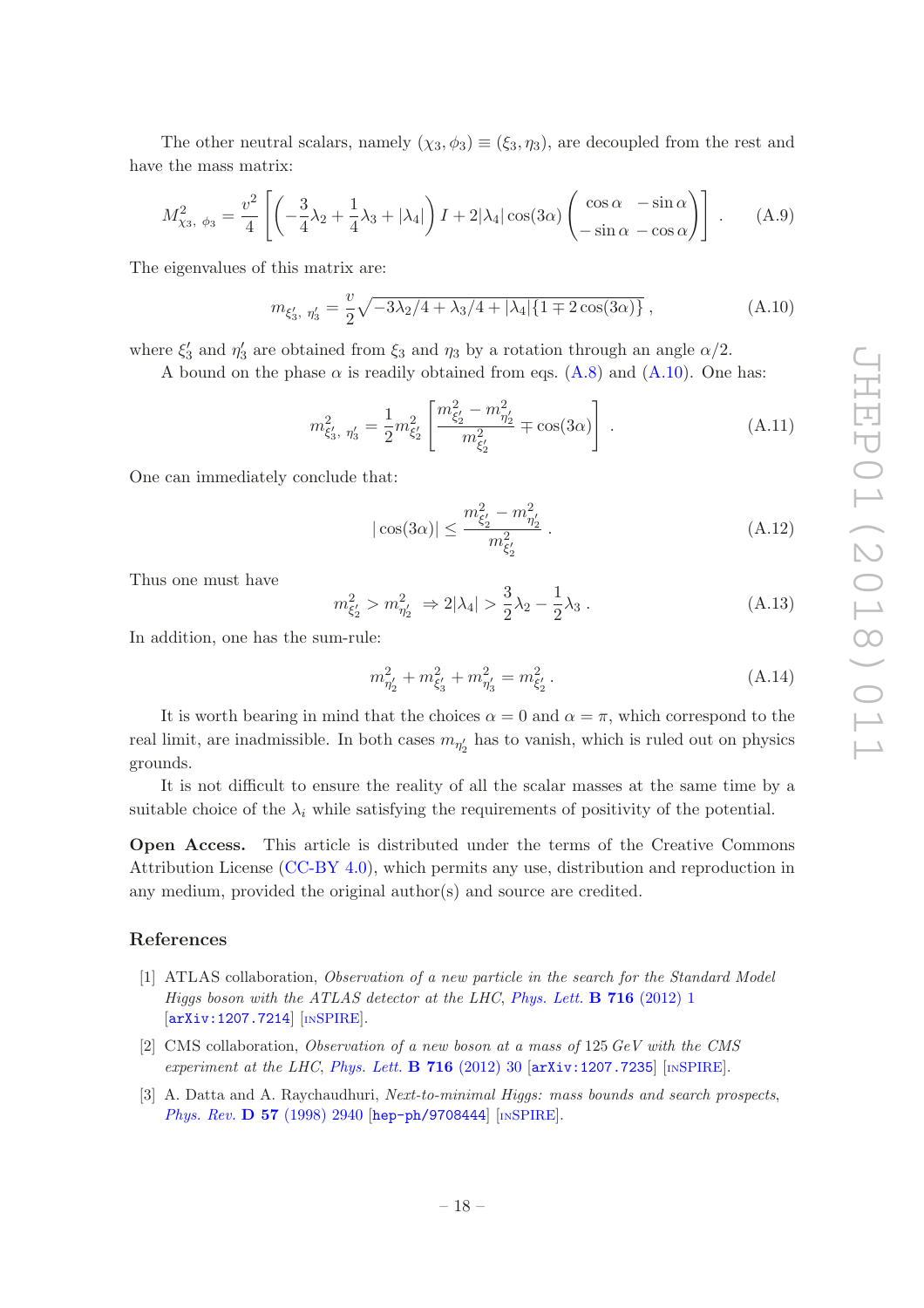The other neutral scalars, namely  $(\chi_3, \phi_3) \equiv (\xi_3, \eta_3)$ , are decoupled from the rest and have the mass matrix:

$$
M_{\chi_3, \phi_3}^2 = \frac{v^2}{4} \left[ \left( -\frac{3}{4}\lambda_2 + \frac{1}{4}\lambda_3 + |\lambda_4| \right) I + 2|\lambda_4|\cos(3\alpha) \left( \frac{\cos\alpha}{-\sin\alpha} - \frac{\sin\alpha}{-\sin\alpha} \right) \right].
$$
 (A.9)

The eigenvalues of this matrix are:

<span id="page-18-3"></span>
$$
m_{\xi'_3, \ \eta'_3} = \frac{v}{2} \sqrt{-3\lambda_2/4 + \lambda_3/4 + |\lambda_4| \{1 \mp 2\cos(3\alpha)\}}, \tag{A.10}
$$

where  $\xi'_3$  and  $\eta'_3$  are obtained from  $\xi_3$  and  $\eta_3$  by a rotation through an angle  $\alpha/2$ .

A bound on the phase  $\alpha$  is readily obtained from eqs. [\(A.8\)](#page-17-1) and [\(A.10\)](#page-18-3). One has:

$$
m_{\xi'_3, \ \eta'_3}^2 = \frac{1}{2} m_{\xi'_2}^2 \left[ \frac{m_{\xi'_2}^2 - m_{\eta'_2}^2}{m_{\xi'_2}^2} \mp \cos(3\alpha) \right] \ . \tag{A.11}
$$

One can immediately conclude that:

$$
|\cos(3\alpha)| \le \frac{m_{\xi_2'}^2 - m_{\eta_2'}}{m_{\xi_2'}} . \tag{A.12}
$$

Thus one must have

$$
m_{\xi_2'}^2 > m_{\eta_2'}^2 \Rightarrow 2|\lambda_4| > \frac{3}{2}\lambda_2 - \frac{1}{2}\lambda_3. \tag{A.13}
$$

In addition, one has the sum-rule:

$$
m_{\eta'_2}^2 + m_{\xi'_3}^2 + m_{\eta'_3}^2 = m_{\xi'_2}^2.
$$
 (A.14)

It is worth bearing in mind that the choices  $\alpha = 0$  and  $\alpha = \pi$ , which correspond to the real limit, are inadmissible. In both cases  $m_{\eta'_2}$  has to vanish, which is ruled out on physics grounds.

It is not difficult to ensure the reality of all the scalar masses at the same time by a suitable choice of the  $\lambda_i$  while satisfying the requirements of positivity of the potential.

Open Access. This article is distributed under the terms of the Creative Commons Attribution License [\(CC-BY 4.0\)](https://creativecommons.org/licenses/by/4.0/), which permits any use, distribution and reproduction in any medium, provided the original author(s) and source are credited.

#### References

- <span id="page-18-0"></span>[1] ATLAS collaboration, *Observation of a new particle in the search for the Standard Model Higgs boson with the ATLAS detector at the LHC*, *[Phys. Lett.](https://doi.org/10.1016/j.physletb.2012.08.020)* B 716 (2012) 1 [[arXiv:1207.7214](https://arxiv.org/abs/1207.7214)] [IN[SPIRE](https://inspirehep.net/search?p=find+EPRINT+arXiv:1207.7214)].
- <span id="page-18-1"></span>[2] CMS collaboration, *Observation of a new boson at a mass of* 125 *GeV with the CMS experiment at the LHC*, *[Phys. Lett.](https://doi.org/10.1016/j.physletb.2012.08.021)* B 716 (2012) 30 [[arXiv:1207.7235](https://arxiv.org/abs/1207.7235)] [IN[SPIRE](https://inspirehep.net/search?p=find+EPRINT+arXiv:1207.7235)].
- <span id="page-18-2"></span>[3] A. Datta and A. Raychaudhuri, *Next-to-minimal Higgs: mass bounds and search prospects*, *Phys. Rev.* **D 57** [\(1998\) 2940](https://doi.org/10.1103/PhysRevD.57.2940) [[hep-ph/9708444](https://arxiv.org/abs/hep-ph/9708444)] [IN[SPIRE](https://inspirehep.net/search?p=find+EPRINT+hep-ph/9708444)].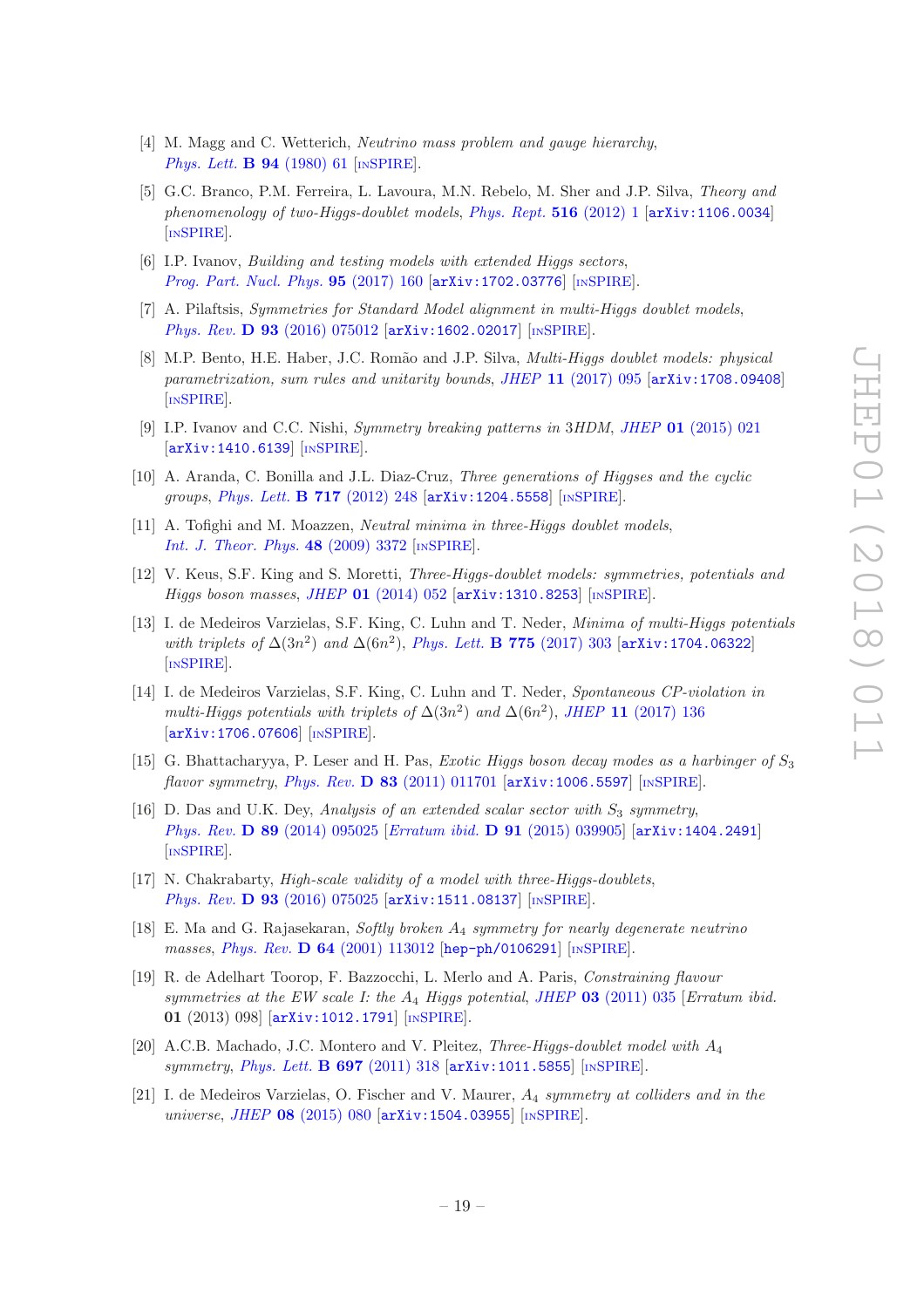- <span id="page-19-0"></span>[4] M. Magg and C. Wetterich, *Neutrino mass problem and gauge hierarchy*, *[Phys. Lett.](https://doi.org/10.1016/0370-2693(80)90825-4)* **B 94** (1980) 61 [IN[SPIRE](https://inspirehep.net/search?p=find+J+%22Phys.Lett.,B94,61%22)].
- <span id="page-19-1"></span>[5] G.C. Branco, P.M. Ferreira, L. Lavoura, M.N. Rebelo, M. Sher and J.P. Silva, *Theory and phenomenology of two-Higgs-doublet models*, *[Phys. Rept.](https://doi.org/10.1016/j.physrep.2012.02.002)* 516 (2012) 1 [[arXiv:1106.0034](https://arxiv.org/abs/1106.0034)] [IN[SPIRE](https://inspirehep.net/search?p=find+EPRINT+arXiv:1106.0034)].
- <span id="page-19-2"></span>[6] I.P. Ivanov, *Building and testing models with extended Higgs sectors*, *[Prog. Part. Nucl. Phys.](https://doi.org/10.1016/j.ppnp.2017.03.001)* 95 (2017) 160 [[arXiv:1702.03776](https://arxiv.org/abs/1702.03776)] [IN[SPIRE](https://inspirehep.net/search?p=find+EPRINT+arXiv:1702.03776)].
- [7] A. Pilaftsis, *Symmetries for Standard Model alignment in multi-Higgs doublet models*, *Phys. Rev.* **D 93** [\(2016\) 075012](https://doi.org/10.1103/PhysRevD.93.075012) [[arXiv:1602.02017](https://arxiv.org/abs/1602.02017)] [IN[SPIRE](https://inspirehep.net/search?p=find+EPRINT+arXiv:1602.02017)].
- <span id="page-19-3"></span>[8] M.P. Bento, H.E. Haber, J.C. Rom˜ao and J.P. Silva, *Multi-Higgs doublet models: physical parametrization, sum rules and unitarity bounds*, *JHEP* 11 [\(2017\) 095](https://doi.org/10.1007/JHEP11(2017)095) [[arXiv:1708.09408](https://arxiv.org/abs/1708.09408)] [IN[SPIRE](https://inspirehep.net/search?p=find+EPRINT+arXiv:1708.09408)].
- <span id="page-19-4"></span>[9] I.P. Ivanov and C.C. Nishi, *Symmetry breaking patterns in* 3*HDM*, *JHEP* 01 [\(2015\) 021](https://doi.org/10.1007/JHEP01(2015)021) [[arXiv:1410.6139](https://arxiv.org/abs/1410.6139)] [IN[SPIRE](https://inspirehep.net/search?p=find+EPRINT+arXiv:1410.6139)].
- [10] A. Aranda, C. Bonilla and J.L. Diaz-Cruz, *Three generations of Higgses and the cyclic groups*, *[Phys. Lett.](https://doi.org/10.1016/j.physletb.2012.09.011)* B 717 (2012) 248 [[arXiv:1204.5558](https://arxiv.org/abs/1204.5558)] [IN[SPIRE](https://inspirehep.net/search?p=find+EPRINT+arXiv:1204.5558)].
- <span id="page-19-5"></span>[11] A. Tofighi and M. Moazzen, *Neutral minima in three-Higgs doublet models*, *[Int. J. Theor. Phys.](https://doi.org/10.1007/s10773-009-0141-8)* 48 (2009) 3372 [IN[SPIRE](https://inspirehep.net/search?p=find+J+%22Int.J.Theor.Phys.,48,3372%22)].
- <span id="page-19-6"></span>[12] V. Keus, S.F. King and S. Moretti, *Three-Higgs-doublet models: symmetries, potentials and Higgs boson masses*, *JHEP* 01 [\(2014\) 052](https://doi.org/10.1007/JHEP01(2014)052) [[arXiv:1310.8253](https://arxiv.org/abs/1310.8253)] [IN[SPIRE](https://inspirehep.net/search?p=find+EPRINT+arXiv:1310.8253)].
- <span id="page-19-7"></span>[13] I. de Medeiros Varzielas, S.F. King, C. Luhn and T. Neder, *Minima of multi-Higgs potentials with triplets of*  $\Delta(3n^2)$  *and*  $\Delta(6n^2)$ , *[Phys. Lett.](https://doi.org/10.1016/j.physletb.2017.11.005)* **B** 775 (2017) 303 [[arXiv:1704.06322](https://arxiv.org/abs/1704.06322)] [IN[SPIRE](https://inspirehep.net/search?p=find+EPRINT+arXiv:1704.06322)].
- <span id="page-19-8"></span>[14] I. de Medeiros Varzielas, S.F. King, C. Luhn and T. Neder, *Spontaneous CP-violation in multi-Higgs potentials with triplets of*  $\Delta(3n^2)$  *and*  $\Delta(6n^2)$ , *JHEP* 11 [\(2017\) 136](https://doi.org/10.1007/JHEP11(2017)136) [[arXiv:1706.07606](https://arxiv.org/abs/1706.07606)] [IN[SPIRE](https://inspirehep.net/search?p=find+EPRINT+arXiv:1706.07606)].
- <span id="page-19-9"></span>[15] G. Bhattacharyya, P. Leser and H. Pas, *Exotic Higgs boson decay modes as a harbinger of* S<sup>3</sup> *flavor symmetry*, *Phys. Rev.* D 83 [\(2011\) 011701](https://doi.org/10.1103/PhysRevD.83.011701) [[arXiv:1006.5597](https://arxiv.org/abs/1006.5597)] [IN[SPIRE](https://inspirehep.net/search?p=find+EPRINT+arXiv:1006.5597)].
- <span id="page-19-10"></span> $[16]$  D. Das and U.K. Dey, *Analysis of an extended scalar sector with*  $S_3$  *symmetry*, *Phys. Rev.* D 89 [\(2014\) 095025](https://doi.org/10.1103/PhysRevD.89.095025) [*Erratum ibid.* D 91 [\(2015\) 039905\]](https://doi.org/10.1103/PhysRevD.91.039905) [[arXiv:1404.2491](https://arxiv.org/abs/1404.2491)] [IN[SPIRE](https://inspirehep.net/search?p=find+EPRINT+arXiv:1404.2491)].
- <span id="page-19-11"></span>[17] N. Chakrabarty, *High-scale validity of a model with three-Higgs-doublets*, *Phys. Rev.* **D 93** [\(2016\) 075025](https://doi.org/10.1103/PhysRevD.93.075025) [[arXiv:1511.08137](https://arxiv.org/abs/1511.08137)] [IN[SPIRE](https://inspirehep.net/search?p=find+EPRINT+arXiv:1511.08137)].
- <span id="page-19-12"></span>[18] E. Ma and G. Rajasekaran, *Softly broken* A<sup>4</sup> *symmetry for nearly degenerate neutrino masses*, *Phys. Rev.* D 64 [\(2001\) 113012](https://doi.org/10.1103/PhysRevD.64.113012) [[hep-ph/0106291](https://arxiv.org/abs/hep-ph/0106291)] [IN[SPIRE](https://inspirehep.net/search?p=find+EPRINT+hep-ph/0106291)].
- <span id="page-19-13"></span>[19] R. de Adelhart Toorop, F. Bazzocchi, L. Merlo and A. Paris, *Constraining flavour symmetries at the EW scale I: the* A<sup>4</sup> *Higgs potential*, *JHEP* 03 [\(2011\) 035](https://doi.org/10.1007/JHEP03(2011)035) [*Erratum ibid.* 01 (2013) 098] [[arXiv:1012.1791](https://arxiv.org/abs/1012.1791)] [IN[SPIRE](https://inspirehep.net/search?p=find+EPRINT+arXiv:1012.1791)].
- <span id="page-19-14"></span>[20] A.C.B. Machado, J.C. Montero and V. Pleitez, *Three-Higgs-doublet model with* A<sup>4</sup> *symmetry*, *[Phys. Lett.](https://doi.org/10.1016/j.physletb.2011.02.015)* B 697 (2011) 318 [[arXiv:1011.5855](https://arxiv.org/abs/1011.5855)] [IN[SPIRE](https://inspirehep.net/search?p=find+EPRINT+arXiv:1011.5855)].
- <span id="page-19-15"></span>[21] I. de Medeiros Varzielas, O. Fischer and V. Maurer, A<sup>4</sup> *symmetry at colliders and in the universe*, *JHEP* 08 [\(2015\) 080](https://doi.org/10.1007/JHEP08(2015)080) [[arXiv:1504.03955](https://arxiv.org/abs/1504.03955)] [IN[SPIRE](https://inspirehep.net/search?p=find+EPRINT+arXiv:1504.03955)].